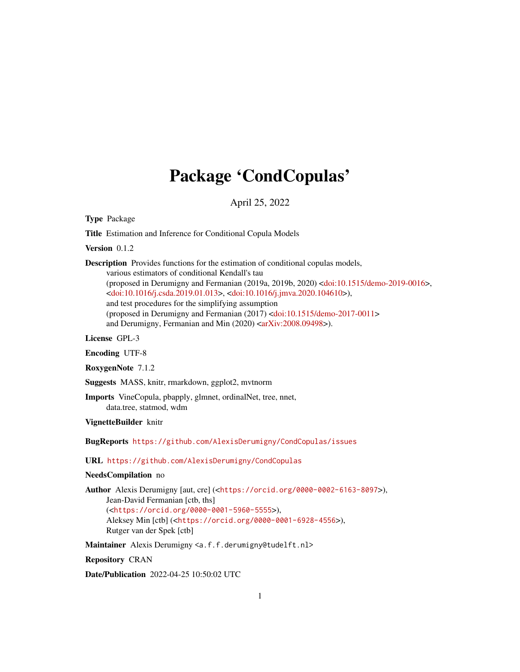# Package 'CondCopulas'

April 25, 2022

<span id="page-0-0"></span>Type Package

Title Estimation and Inference for Conditional Copula Models

Version 0.1.2

Description Provides functions for the estimation of conditional copulas models, various estimators of conditional Kendall's tau (proposed in Derumigny and Fermanian (2019a, 2019b, 2020) [<doi:10.1515/demo-2019-0016>](https://doi.org/10.1515/demo-2019-0016), [<doi:10.1016/j.csda.2019.01.013>](https://doi.org/10.1016/j.csda.2019.01.013), [<doi:10.1016/j.jmva.2020.104610>](https://doi.org/10.1016/j.jmva.2020.104610)), and test procedures for the simplifying assumption (proposed in Derumigny and Fermanian (2017) [<doi:10.1515/demo-2017-0011>](https://doi.org/10.1515/demo-2017-0011) and Derumigny, Fermanian and Min (2020) [<arXiv:2008.09498>](https://arxiv.org/abs/2008.09498)).

License GPL-3

Encoding UTF-8

RoxygenNote 7.1.2

Suggests MASS, knitr, rmarkdown, ggplot2, mvtnorm

Imports VineCopula, pbapply, glmnet, ordinalNet, tree, nnet, data.tree, statmod, wdm

VignetteBuilder knitr

BugReports <https://github.com/AlexisDerumigny/CondCopulas/issues>

URL <https://github.com/AlexisDerumigny/CondCopulas>

# NeedsCompilation no

Author Alexis Derumigny [aut, cre] (<<https://orcid.org/0000-0002-6163-8097>>), Jean-David Fermanian [ctb, ths] (<<https://orcid.org/0000-0001-5960-5555>>), Aleksey Min [ctb] (<<https://orcid.org/0000-0001-6928-4556>>), Rutger van der Spek [ctb]

Maintainer Alexis Derumigny <a.f.f.derumigny@tudelft.nl>

Repository CRAN

Date/Publication 2022-04-25 10:50:02 UTC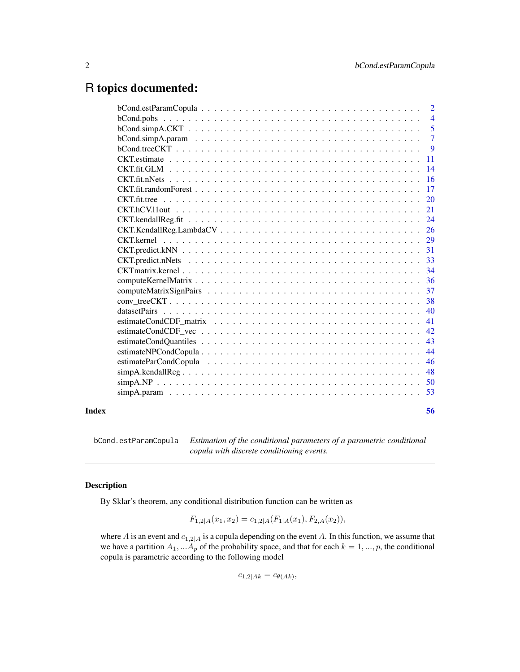# <span id="page-1-0"></span>R topics documented:

|       |                                                                                                                                          | $\overline{2}$  |
|-------|------------------------------------------------------------------------------------------------------------------------------------------|-----------------|
|       |                                                                                                                                          | $\overline{4}$  |
|       |                                                                                                                                          | $\overline{5}$  |
|       |                                                                                                                                          | $\overline{7}$  |
|       |                                                                                                                                          | 9               |
|       |                                                                                                                                          | <b>11</b>       |
|       | CKT.fit.GLM                                                                                                                              | $\overline{14}$ |
|       |                                                                                                                                          | 16              |
|       |                                                                                                                                          | 17              |
|       | $\text{CKT}.$ fit. tree $\ldots \ldots \ldots \ldots \ldots \ldots \ldots \ldots \ldots \ldots \ldots \ldots \ldots$                     | 20              |
|       |                                                                                                                                          | 21              |
|       |                                                                                                                                          | 24              |
|       |                                                                                                                                          | 26              |
|       |                                                                                                                                          | 29              |
|       |                                                                                                                                          | 31              |
|       |                                                                                                                                          | 33              |
|       |                                                                                                                                          | 34              |
|       |                                                                                                                                          | 36              |
|       |                                                                                                                                          | 37              |
|       |                                                                                                                                          | 38              |
|       |                                                                                                                                          | 40              |
|       | estimateCondCDF matrix $\ldots \ldots \ldots \ldots \ldots \ldots \ldots \ldots \ldots \ldots \ldots \ldots \ldots$                      | 41              |
|       |                                                                                                                                          | 42              |
|       |                                                                                                                                          | 43              |
|       | $\text{estimate} \text{NPCond} \text{Copula}. \dots \dots \dots \dots \dots \dots \dots \dots \dots \dots \dots \dots \dots \dots \dots$ | 44              |
|       |                                                                                                                                          | 46              |
|       |                                                                                                                                          | 48              |
|       |                                                                                                                                          | -50             |
|       |                                                                                                                                          |                 |
|       |                                                                                                                                          |                 |
| Index |                                                                                                                                          | 56              |

<span id="page-1-1"></span>bCond.estParamCopula *Estimation of the conditional parameters of a parametric conditional copula with discrete conditioning events.*

# Description

By Sklar's theorem, any conditional distribution function can be written as

$$
F_{1,2|A}(x_1, x_2) = c_{1,2|A}(F_{1|A}(x_1), F_{2,A}(x_2)),
$$

where A is an event and  $c_{1,2|A}$  is a copula depending on the event A. In this function, we assume that we have a partition  $A_1, \ldots, A_p$  of the probability space, and that for each  $k = 1, \ldots, p$ , the conditional copula is parametric according to the following model

$$
c_{1,2|Ak} = c_{\theta(Ak)},
$$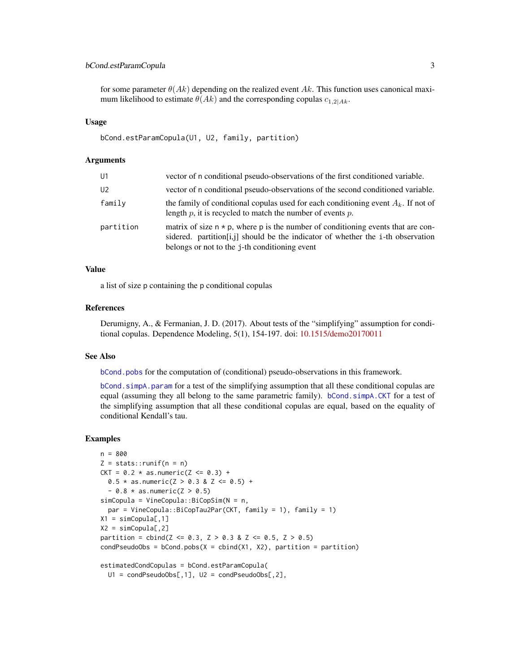# <span id="page-2-0"></span>bCond.estParamCopula 3

for some parameter  $\theta(Ak)$  depending on the realized event Ak. This function uses canonical maximum likelihood to estimate  $\theta(Ak)$  and the corresponding copulas  $c_{1,2|Ak}$ .

#### Usage

```
bCond.estParamCopula(U1, U2, family, partition)
```
#### Arguments

| U1             | vector of n conditional pseudo-observations of the first conditioned variable.                                                                                                                                            |
|----------------|---------------------------------------------------------------------------------------------------------------------------------------------------------------------------------------------------------------------------|
| U <sub>2</sub> | vector of n conditional pseudo-observations of the second conditioned variable.                                                                                                                                           |
| family         | the family of conditional copulas used for each conditioning event $A_k$ . If not of<br>length $p$ , it is recycled to match the number of events $p$ .                                                                   |
| partition      | matrix of size $n * p$ , where p is the number of conditioning events that are con-<br>sidered. partition [i, i] should be the indicator of whether the i-th observation<br>belongs or not to the j-th conditioning event |

#### Value

a list of size p containing the p conditional copulas

# References

Derumigny, A., & Fermanian, J. D. (2017). About tests of the "simplifying" assumption for conditional copulas. Dependence Modeling, 5(1), 154-197. doi: [10.1515/demo20170011](https://doi.org/10.1515/demo-2017-0011)

#### See Also

[bCond.pobs](#page-3-1) for the computation of (conditional) pseudo-observations in this framework.

bCond. simpA. param for a test of the simplifying assumption that all these conditional copulas are equal (assuming they all belong to the same parametric family). [bCond.simpA.CKT](#page-4-1) for a test of the simplifying assumption that all these conditional copulas are equal, based on the equality of conditional Kendall's tau.

```
n = 800
Z = stats::runif(n = n)CKT = 0.2 * as.numeric(Z \le 0.3) +0.5 * as.numeric(Z > 0.3 & Z <= 0.5) +
  - 0.8 * as.numeric(Z > 0.5)
simCopula = VineCopula::BiCopSim(N = n,
  par = VineCopula::BiCopTau2Par(CKT, family = 1), family = 1)
X1 = simCopula[, 1]X2 = simCopula[, 2]partition = cbind(Z \le 0.3, Z > 0.3 & Z \le 0.5, Z > 0.5)
condPseudoObs = bCond.pobs(X = cbind(X1, X2)), partition = partition)
estimatedCondCopulas = bCond.estParamCopula(
  U1 = condPseudoObs[, 1], U2 = condPseudoObs[, 2],
```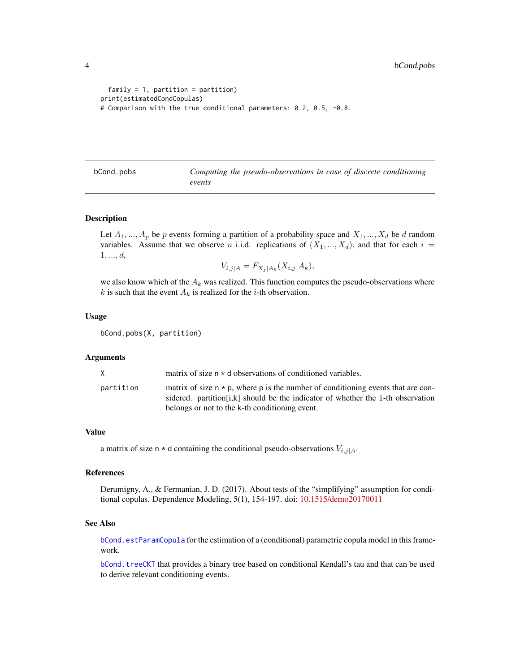```
family = 1, partition = partition)
print(estimatedCondCopulas)
# Comparison with the true conditional parameters: 0.2, 0.5, -0.8.
```
<span id="page-3-1"></span>bCond.pobs *Computing the pseudo-observations in case of discrete conditioning events*

#### Description

Let  $A_1, ..., A_p$  be p events forming a partition of a probability space and  $X_1, ..., X_d$  be d random variables. Assume that we observe n i.i.d. replications of  $(X_1, ..., X_d)$ , and that for each  $i =$  $1, ..., d,$ 

$$
V_{i,j|A} = F_{X_j|A_k}(X_{i,j}|A_k),
$$

we also know which of the  $A_k$  was realized. This function computes the pseudo-observations where k is such that the event  $A_k$  is realized for the *i*-th observation.

#### Usage

bCond.pobs(X, partition)

#### **Arguments**

| X.        | matrix of size $n * d$ observations of conditioned variables.                                                                                                                                                                  |
|-----------|--------------------------------------------------------------------------------------------------------------------------------------------------------------------------------------------------------------------------------|
| partition | matrix of size $n \times p$ , where p is the number of conditioning events that are con-<br>sidered, partition [i,k] should be the indicator of whether the i-th observation<br>belongs or not to the k-th conditioning event. |

#### Value

a matrix of size n  $\star$  d containing the conditional pseudo-observations  $V_{i,j|A}$ .

#### References

Derumigny, A., & Fermanian, J. D. (2017). About tests of the "simplifying" assumption for conditional copulas. Dependence Modeling, 5(1), 154-197. doi: [10.1515/demo20170011](https://doi.org/10.1515/demo-2017-0011)

#### See Also

[bCond.estParamCopula](#page-1-1) for the estimation of a (conditional) parametric copula model in this framework.

[bCond.treeCKT](#page-8-1) that provides a binary tree based on conditional Kendall's tau and that can be used to derive relevant conditioning events.

<span id="page-3-0"></span>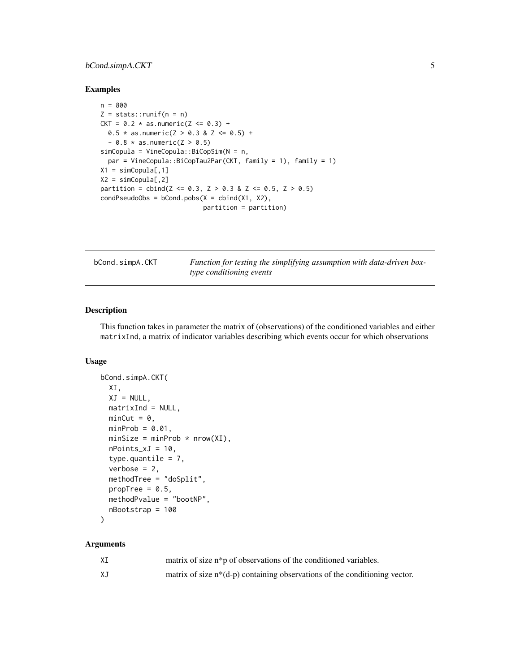# <span id="page-4-0"></span>bCond.simpA.CKT 5

#### Examples

```
n = 800
Z = stats::runif(n = n)CKT = 0.2 * as.numeric(Z \le 0.3) +0.5 * as.numeric(Z > 0.3 & Z <= 0.5) +
  - 0.8 * as.numeric(Z > 0.5)
simCopula = VineCopula::BiCopSim(N = n,
  par = VineCopula::BiCopTau2Par(CKT, family = 1), family = 1)
X1 = simCopula[, 1]X2 = simCopula[, 2]partition = cbind(Z \le 0.3, Z > 0.3 & Z \le 0.5, Z > 0.5)
condPseudoObs = bCond.pobs(X = cbind(X1, X2)),partition = partition)
```
<span id="page-4-1"></span>bCond.simpA.CKT *Function for testing the simplifying assumption with data-driven boxtype conditioning events*

# Description

This function takes in parameter the matrix of (observations) of the conditioned variables and either matrixInd, a matrix of indicator variables describing which events occur for which observations

#### Usage

```
bCond.simpA.CKT(
  XI,
 XJ = NULL,
 matrixInd = NULL,minCut = 0,
 minProb = 0.01,
 minSize = minProb * nrow(XI),
 nPoints_xJ = 10,
  type.quantile = 7,
  verbose = 2,
 methodTree = "doSplit",
 propTree = 0.5,
 methodPvalue = "bootNP",
 nBootstrap = 100
```

```
)
```

| ΧI | matrix of size n <sup>*</sup> p of observations of the conditioned variables. |
|----|-------------------------------------------------------------------------------|
| ΧJ | matrix of size $n*(d-p)$ containing observations of the conditioning vector.  |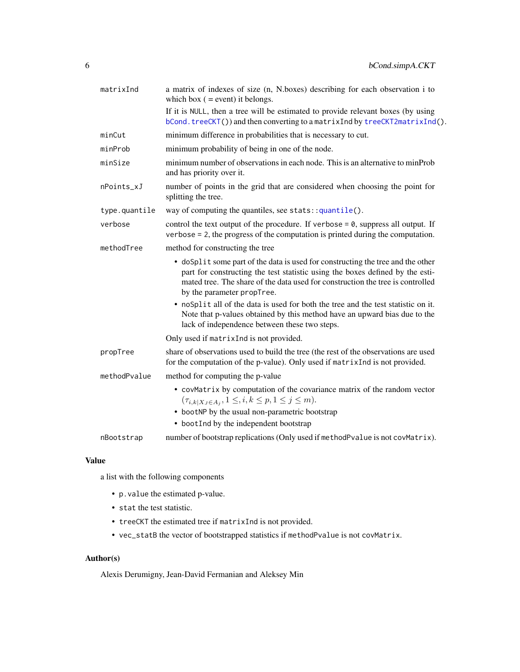<span id="page-5-0"></span>

| matrixInd     | a matrix of indexes of size (n, N.boxes) describing for each observation i to<br>which box $($ = event) it belongs.                                                                                                                                                              |
|---------------|----------------------------------------------------------------------------------------------------------------------------------------------------------------------------------------------------------------------------------------------------------------------------------|
|               | If it is NULL, then a tree will be estimated to provide relevant boxes (by using<br>$bCond.treeCKT()$ and then converting to a matrix Ind by treeCKT2matrix Ind().                                                                                                               |
| minCut        | minimum difference in probabilities that is necessary to cut.                                                                                                                                                                                                                    |
| minProb       | minimum probability of being in one of the node.                                                                                                                                                                                                                                 |
| minSize       | minimum number of observations in each node. This is an alternative to minProb<br>and has priority over it.                                                                                                                                                                      |
| nPoints_xJ    | number of points in the grid that are considered when choosing the point for<br>splitting the tree.                                                                                                                                                                              |
| type.quantile | way of computing the quantiles, see stats::quantile().                                                                                                                                                                                                                           |
| verbose       | control the text output of the procedure. If verbose = $\theta$ , suppress all output. If<br>verbose $= 2$ , the progress of the computation is printed during the computation.                                                                                                  |
| methodTree    | method for constructing the tree                                                                                                                                                                                                                                                 |
|               | • doSplit some part of the data is used for constructing the tree and the other<br>part for constructing the test statistic using the boxes defined by the esti-<br>mated tree. The share of the data used for construction the tree is controlled<br>by the parameter propTree. |
|               | • noSplit all of the data is used for both the tree and the test statistic on it.<br>Note that p-values obtained by this method have an upward bias due to the<br>lack of independence between these two steps.                                                                  |
|               | Only used if matrixInd is not provided.                                                                                                                                                                                                                                          |
| propTree      | share of observations used to build the tree (the rest of the observations are used<br>for the computation of the p-value). Only used if matrixInd is not provided.                                                                                                              |
| methodPvalue  | method for computing the p-value                                                                                                                                                                                                                                                 |
|               | • covMatrix by computation of the covariance matrix of the random vector<br>$(\tau_{i,k X_J \in A_j}, 1 \leq i, k \leq p, 1 \leq j \leq m).$                                                                                                                                     |
|               | • bootNP by the usual non-parametric bootstrap<br>• bootInd by the independent bootstrap                                                                                                                                                                                         |
| nBootstrap    | number of bootstrap replications (Only used if methodPvalue is not covMatrix).                                                                                                                                                                                                   |

#### Value

a list with the following components

- p.value the estimated p-value.
- stat the test statistic.
- treeCKT the estimated tree if matrixInd is not provided.
- vec\_statB the vector of bootstrapped statistics if methodPvalue is not covMatrix.

# Author(s)

Alexis Derumigny, Jean-David Fermanian and Aleksey Min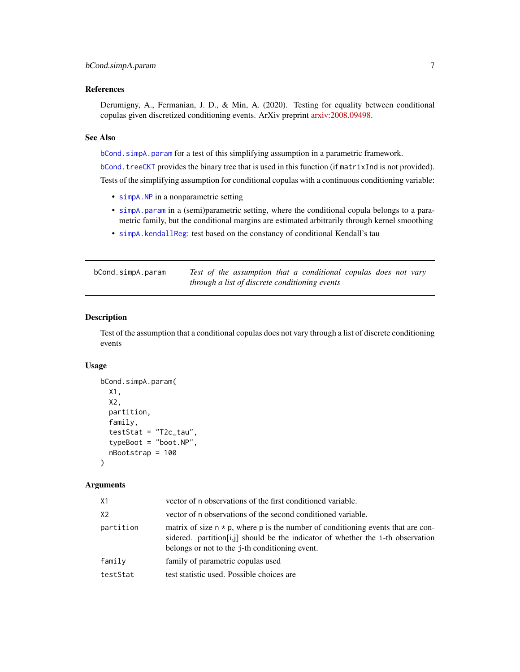# <span id="page-6-0"></span>References

Derumigny, A., Fermanian, J. D., & Min, A. (2020). Testing for equality between conditional copulas given discretized conditioning events. ArXiv preprint [arxiv:2008.09498.](https://arxiv.org/abs/2008.09498)

#### See Also

[bCond.simpA.param](#page-6-1) for a test of this simplifying assumption in a parametric framework.

[bCond.treeCKT](#page-8-1) provides the binary tree that is used in this function (if matrixInd is not provided).

Tests of the simplifying assumption for conditional copulas with a continuous conditioning variable:

- [simpA.NP](#page-49-1) in a nonparametric setting
- [simpA.param](#page-52-1) in a (semi)parametric setting, where the conditional copula belongs to a parametric family, but the conditional margins are estimated arbitrarily through kernel smoothing
- [simpA.kendallReg](#page-47-1): test based on the constancy of conditional Kendall's tau

<span id="page-6-1"></span>bCond.simpA.param *Test of the assumption that a conditional copulas does not vary through a list of discrete conditioning events*

# **Description**

Test of the assumption that a conditional copulas does not vary through a list of discrete conditioning events

#### Usage

```
bCond.simpA.param(
  X1,
 X2,
  partition,
  family,
  testStat = "T2c_tau",
  typeBoot = "boot.NP",
  nBootstrap = 100
)
```

| X1             | vector of n observations of the first conditioned variable.                                                                                                                                                                     |
|----------------|---------------------------------------------------------------------------------------------------------------------------------------------------------------------------------------------------------------------------------|
| X <sub>2</sub> | vector of n observations of the second conditioned variable.                                                                                                                                                                    |
| partition      | matrix of size $n \times p$ , where p is the number of conditioning events that are con-<br>sidered. partition [i, i] should be the indicator of whether the i-th observation<br>belongs or not to the j-th conditioning event. |
| family         | family of parametric copulas used                                                                                                                                                                                               |
| testStat       | test statistic used. Possible choices are                                                                                                                                                                                       |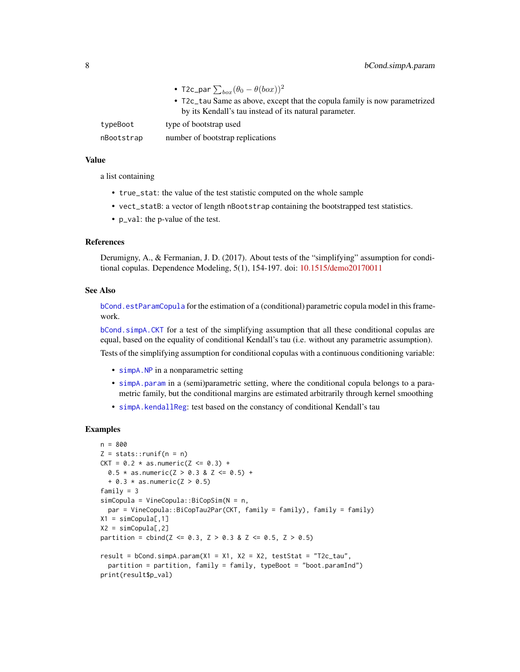- T2c\_par  $\sum_{box}(\theta_0-\theta(box))^2$
- T2c\_tau Same as above, except that the copula family is now parametrized by its Kendall's tau instead of its natural parameter.

<span id="page-7-0"></span>typeBoot type of bootstrap used

nBootstrap number of bootstrap replications

# Value

a list containing

- true\_stat: the value of the test statistic computed on the whole sample
- vect\_statB: a vector of length nBootstrap containing the bootstrapped test statistics.
- p\_val: the p-value of the test.

#### References

Derumigny, A., & Fermanian, J. D. (2017). About tests of the "simplifying" assumption for conditional copulas. Dependence Modeling, 5(1), 154-197. doi: [10.1515/demo20170011](https://doi.org/10.1515/demo-2017-0011)

#### See Also

[bCond.estParamCopula](#page-1-1) for the estimation of a (conditional) parametric copula model in this framework.

[bCond.simpA.CKT](#page-4-1) for a test of the simplifying assumption that all these conditional copulas are equal, based on the equality of conditional Kendall's tau (i.e. without any parametric assumption).

Tests of the simplifying assumption for conditional copulas with a continuous conditioning variable:

- [simpA.NP](#page-49-1) in a nonparametric setting
- [simpA.param](#page-52-1) in a (semi)parametric setting, where the conditional copula belongs to a parametric family, but the conditional margins are estimated arbitrarily through kernel smoothing
- [simpA.kendallReg](#page-47-1): test based on the constancy of conditional Kendall's tau

```
n = 800
Z = stats::runif(n = n)CKT = 0.2 * as.numeric(Z \le 0.3) +0.5 * as.numeric(Z > 0.3 & Z <= 0.5) +
  + 0.3 \times as.numeric(Z > 0.5)
family = 3simCopula = VineCopula::BiCopSim(N = n,
  par = VineCopula::BiCopTau2Par(CKT, family = family), family = family)
X1 = simCopula[, 1]X2 = simCopula[, 2]partition = cbind(Z \le 0.3, Z > 0.3 & Z \le 0.5, Z > 0.5)
result = bCond.simpA.param(X1 = X1, X2 = X2, testStat = "T2c_tau",
  partition = partition, family = family, typeBoot = "boot.paramInd")
print(result$p_val)
```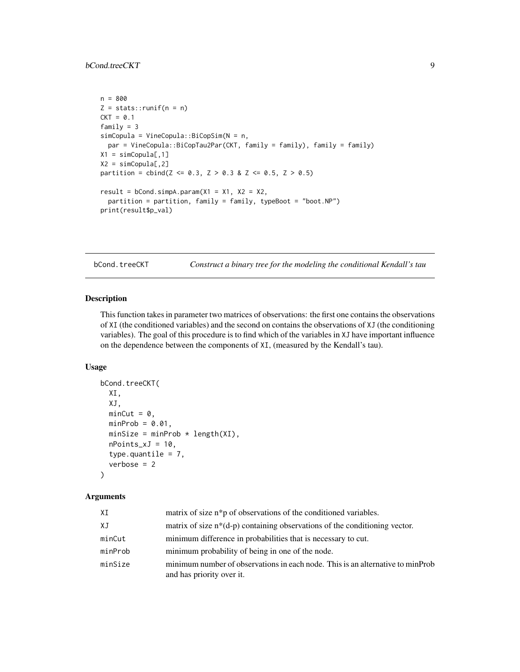```
n = 800
Z = stats::runif(n = n)CKT = 0.1family = 3
simCopula = VineCopula::BiCopSim(N = n,
  par = VineCopula::BiCopTau2Par(CKT, family = family), family = family)
X1 = simCopula[, 1]X2 = simCopula[, 2]partition = cbind(Z \le 0.3, Z > 0.3 & Z \le 0.5, Z > 0.5)
result = bCond.simpA.param(X1 = X1, X2 = X2,partition = partition, family = family, typeBoot = "boot.NP")
print(result$p_val)
```
<span id="page-8-1"></span>bCond.treeCKT *Construct a binary tree for the modeling the conditional Kendall's tau*

# Description

This function takes in parameter two matrices of observations: the first one contains the observations of XI (the conditioned variables) and the second on contains the observations of XJ (the conditioning variables). The goal of this procedure is to find which of the variables in XJ have important influence on the dependence between the components of XI, (measured by the Kendall's tau).

# Usage

```
bCond.treeCKT(
 XI,
 XJ,
 minCut = 0,
 minProb = 0.01,minSize = minProb * length(XI),
 nPoints_xJ = 10,
  type.quantile = 7,
  verbose = 2)
```

| XI      | matrix of size n <sup>*</sup> p of observations of the conditioned variables.                               |
|---------|-------------------------------------------------------------------------------------------------------------|
| XJ      | matrix of size $n*(d-p)$ containing observations of the conditioning vector.                                |
| minCut  | minimum difference in probabilities that is necessary to cut.                                               |
| minProb | minimum probability of being in one of the node.                                                            |
| minSize | minimum number of observations in each node. This is an alternative to minProb<br>and has priority over it. |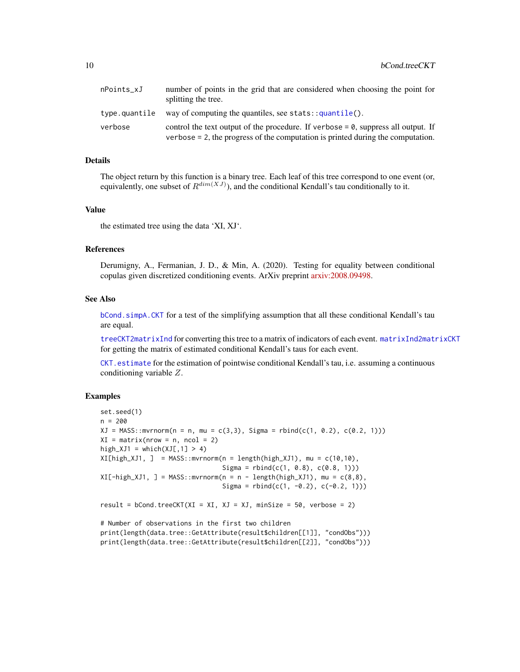<span id="page-9-0"></span>

| nPoints xJ    | number of points in the grid that are considered when choosing the point for<br>splitting the tree.                                                                        |
|---------------|----------------------------------------------------------------------------------------------------------------------------------------------------------------------------|
| type.quantile | way of computing the quantiles, see stats: $g$ uantile().                                                                                                                  |
| verbose       | control the text output of the procedure. If verbose $= 0$ , suppress all output. If<br>verbose $= 2$ , the progress of the computation is printed during the computation. |

# Details

The object return by this function is a binary tree. Each leaf of this tree correspond to one event (or, equivalently, one subset of  $R^{dim(XJ)}$ ), and the conditional Kendall's tau conditionally to it.

#### Value

the estimated tree using the data 'XI, XJ'.

#### References

Derumigny, A., Fermanian, J. D., & Min, A. (2020). Testing for equality between conditional copulas given discretized conditioning events. ArXiv preprint [arxiv:2008.09498.](https://arxiv.org/abs/2008.09498)

#### See Also

[bCond.simpA.CKT](#page-4-1) for a test of the simplifying assumption that all these conditional Kendall's tau are equal.

[treeCKT2matrixInd](#page-37-1) for converting this tree to a matrix of indicators of each event. [matrixInd2matrixCKT](#page-37-1) for getting the matrix of estimated conditional Kendall's taus for each event.

[CKT.estimate](#page-10-1) for the estimation of pointwise conditional Kendall's tau, i.e. assuming a continuous conditioning variable Z.

```
set.seed(1)
n = 200
XJ = MASS::mvrnorm(n = n, mu = c(3,3), Sigma = rbind(c(1, 0.2), c(0.2, 1)))XI = matrix(nrow = n, ncol = 2)high_XJ1 = which(XJ[,1] > 4)
XI[high_XJ1, ] = MASS::mvrnorm(n = length(high_XJ1), mu = c(10,10),Sigma = rbind(c(1, 0.8), c(0.8, 1)))XI[-high\_XJ1, ] = MASS::mvrnorm(n = n - length(high\_XJ1), mu = c(8,8),Sigma = rbind(c(1, -0.2), c(-0.2, 1)))result = bCond.treeCKT(XI = XI, XI = XJ, minSize = 50, verbose = 2)
# Number of observations in the first two children
print(length(data.tree::GetAttribute(result$children[[1]], "condObs")))
print(length(data.tree::GetAttribute(result$children[[2]], "condObs")))
```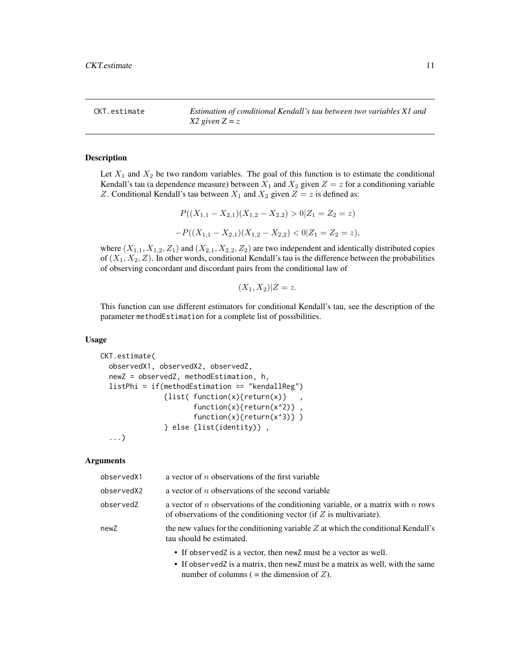<span id="page-10-1"></span><span id="page-10-0"></span>CKT.estimate *Estimation of conditional Kendall's tau between two variables X1 and X2 given Z = z*

#### Description

Let  $X_1$  and  $X_2$  be two random variables. The goal of this function is to estimate the conditional Kendall's tau (a dependence measure) between  $X_1$  and  $X_2$  given  $Z = z$  for a conditioning variable Z. Conditional Kendall's tau between  $X_1$  and  $X_2$  given  $Z = z$  is defined as:

$$
P((X_{1,1} - X_{2,1})(X_{1,2} - X_{2,2}) > 0 | Z_1 = Z_2 = z)
$$
  
-
$$
P((X_{1,1} - X_{2,1})(X_{1,2} - X_{2,2}) < 0 | Z_1 = Z_2 = z),
$$

where  $(X_{1,1}, X_{1,2}, Z_1)$  and  $(X_{2,1}, X_{2,2}, Z_2)$  are two independent and identically distributed copies of  $(X_1, X_2, Z)$ . In other words, conditional Kendall's tau is the difference between the probabilities of observing concordant and discordant pairs from the conditional law of

$$
(X_1, X_2)|Z = z.
$$

This function can use different estimators for conditional Kendall's tau, see the description of the parameter methodEstimation for a complete list of possibilities.

#### Usage

```
CKT.estimate(
  observedX1, observedX2, observedZ,
  newZ = observedZ, methodEstimation, h,
  listPhi = if(methodEstimation == "kendallReg")
               {list( function(x){return(x)} ,
                      function(x){return(x^2)},
                      function(x){return(x^3)} )
               } else {list(identity)} ,
```
...)

| observedX1 | a vector of $n$ observations of the first variable                                                                                                           |
|------------|--------------------------------------------------------------------------------------------------------------------------------------------------------------|
| observedX2 | a vector of $n$ observations of the second variable                                                                                                          |
| observedZ  | a vector of $n$ observations of the conditioning variable, or a matrix with $n$ rows<br>of observations of the conditioning vector (if $Z$ is multivariate). |
| newZ       | the new values for the conditioning variable $Z$ at which the conditional Kendall's<br>tau should be estimated.                                              |
|            | • If observed z is a vector, then new z must be a vector as well.                                                                                            |
|            | • If observed z is a matrix, then new z must be a matrix as well, with the same<br>number of columns ( = the dimension of $Z$ ).                             |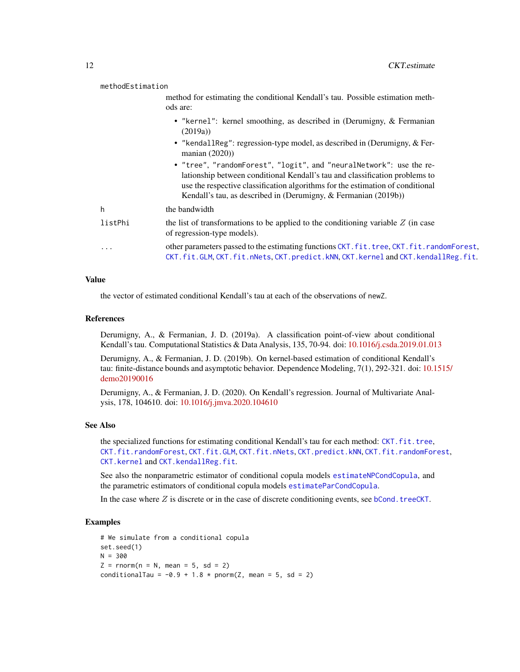<span id="page-11-0"></span>methodEstimation

method for estimating the conditional Kendall's tau. Possible estimation methods are:

- "kernel": kernel smoothing, as described in (Derumigny, & Fermanian (2019a))
- "kendallReg": regression-type model, as described in (Derumigny, & Fermanian (2020))
- "tree", "randomForest", "logit", and "neuralNetwork": use the relationship between conditional Kendall's tau and classification problems to use the respective classification algorithms for the estimation of conditional Kendall's tau, as described in (Derumigny, & Fermanian (2019b))

| h.        | the bandwidth                                                                                                                                                           |
|-----------|-------------------------------------------------------------------------------------------------------------------------------------------------------------------------|
| listPhi   | the list of transformations to be applied to the conditioning variable $Z$ (in case<br>of regression-type models).                                                      |
| $\ddotsc$ | other parameters passed to the estimating functions CKT. fit.tree, CKT. fit.randomForest,<br>CKT.fit.GLM.CKT.fit.nNets.CKT.predict.kNN.CKT.kernelandCKT.kendallReg.fit. |

#### Value

the vector of estimated conditional Kendall's tau at each of the observations of newZ.

#### References

Derumigny, A., & Fermanian, J. D. (2019a). A classification point-of-view about conditional Kendall's tau. Computational Statistics & Data Analysis, 135, 70-94. doi: [10.1016/j.csda.2019.01.013](https://doi.org/10.1016/j.csda.2019.01.013)

Derumigny, A., & Fermanian, J. D. (2019b). On kernel-based estimation of conditional Kendall's tau: finite-distance bounds and asymptotic behavior. Dependence Modeling, 7(1), 292-321. doi: [10.1](https://doi.org/10.1515/demo-2019-0016)515/ [demo20190016](https://doi.org/10.1515/demo-2019-0016)

Derumigny, A., & Fermanian, J. D. (2020). On Kendall's regression. Journal of Multivariate Analysis, 178, 104610. doi: [10.1016/j.jmva.2020.104610](https://doi.org/10.1016/j.jmva.2020.104610)

#### See Also

the specialized functions for estimating conditional Kendall's tau for each method: [CKT.fit.tree](#page-19-1), [CKT.fit.randomForest](#page-16-1), [CKT.fit.GLM](#page-13-1), [CKT.fit.nNets](#page-15-1), [CKT.predict.kNN](#page-30-1), [CKT.fit.randomForest](#page-16-1), [CKT.kernel](#page-28-1) and [CKT.kendallReg.fit](#page-23-1).

See also the nonparametric estimator of conditional copula models [estimateNPCondCopula](#page-43-1), and the parametric estimators of conditional copula models [estimateParCondCopula](#page-45-1).

In the case where  $Z$  is discrete or in the case of discrete conditioning events, see bCond. treeCKT.

```
# We simulate from a conditional copula
set.seed(1)
N = 300Z = rnorm(n = N, mean = 5, sd = 2)conditionalTau = -0.9 + 1.8 * pnorm(Z, mean = 5, sd = 2)
```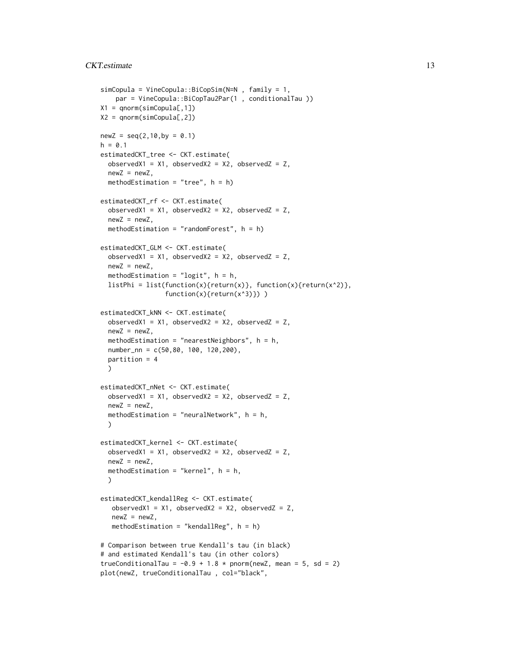```
simCopula = VineCopula::BiCopSim(N=N , family = 1,
    par = VineCopula::BiCopTau2Par(1 , conditionalTau ))
X1 = qnorm(simCopula[,1])
X2 = qnorm(simCopula[,2])
newZ = seq(2, 10, by = 0.1)h = 0.1estimatedCKT_tree <- CKT.estimate(
  observedX1 = X1, observedX2 = X2, observedZ = Z,
  newZ = newZ,methodEstimation = "tree", h = h)
estimatedCKT_rf <- CKT.estimate(
  observedX1 = X1, observedX2 = X2, observedZ = Z,
  newZ = newZ,
  methodEstimation = "randomForest", h = h)
estimatedCKT_GLM <- CKT.estimate(
  observedX1 = X1, observedX2 = X2, observedZ = Z,
  newZ = newZ,methodEstimation = "logit", h = h,listPhi = list(function(x){return(x)}, function(x){return(x^2)},
                 function(x){return(x^3)}))
estimatedCKT_kNN <- CKT.estimate(
  observedX1 = X1, observedX2 = X2, observedZ = Z,
  newZ = newZ,
  methodEstimation = "nearestNeighbors", h = h,
  number_nn = c(50,80, 100, 120,200),
  partition = 4
  \lambdaestimatedCKT_nNet <- CKT.estimate(
  observedX1 = X1, observedX2 = X2, observedZ = Z,
  newZ = newZ,
  methodEstimation = "neuralNetwork", h = h,
  \lambdaestimatedCKT_kernel <- CKT.estimate(
  observedX1 = X1, observedX2 = X2, observedZ = Z,
  newZ = newZ,
  methodEstimation = "kernel", h = h,
  )
estimatedCKT_kendallReg <- CKT.estimate(
   observedX1 = X1, observedX2 = X2, observedZ = Z,
   newZ = newZ,methodEstimation = "kendallReg", h = h)
# Comparison between true Kendall's tau (in black)
# and estimated Kendall's tau (in other colors)
trueConditionalTau = -0.9 + 1.8 * pnorm(newZ, mean = 5, sd = 2)
plot(newZ, trueConditionalTau , col="black",
```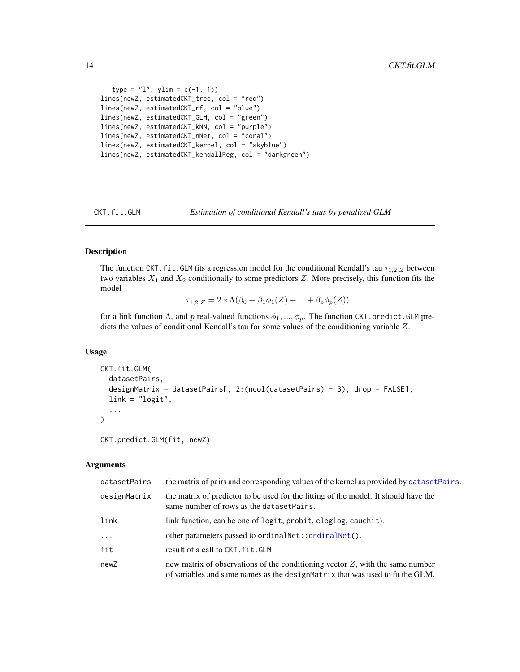```
type = "1", ylim = c(-1, 1))lines(newZ, estimatedCKT_tree, col = "red")
lines(newZ, estimatedCKT_rf, col = "blue")
lines(newZ, estimatedCKT_GLM, col = "green")
lines(newZ, estimatedCKT_kNN, col = "purple")
lines(newZ, estimatedCKT_nNet, col = "coral")
lines(newZ, estimatedCKT_kernel, col = "skyblue")
lines(newZ, estimatedCKT_kendallReg, col = "darkgreen")
```
<span id="page-13-1"></span>

CKT.fit.GLM *Estimation of conditional Kendall's taus by penalized GLM*

# Description

The function CKT. fit. GLM fits a regression model for the conditional Kendall's tau  $\tau_{1,2|Z}$  between two variables  $X_1$  and  $X_2$  conditionally to some predictors Z. More precisely, this function fits the model

$$
\tau_{1,2|Z} = 2 * \Lambda(\beta_0 + \beta_1 \phi_1(Z) + \dots + \beta_p \phi_p(Z))
$$

for a link function  $\Lambda$ , and p real-valued functions  $\phi_1, ..., \phi_p$ . The function CKT.predict.GLM predicts the values of conditional Kendall's tau for some values of the conditioning variable Z.

#### Usage

```
CKT.fit.GLM(
  datasetPairs,
  designMatrix = datasetPairs[, 2:(ncol(datasetPairs) - 3), drop = FALSE],
  link = "logit",...
)
```
CKT.predict.GLM(fit, newZ)

| datasetPairs | the matrix of pairs and corresponding values of the kernel as provided by datasetPairs.                                                                            |
|--------------|--------------------------------------------------------------------------------------------------------------------------------------------------------------------|
| designMatrix | the matrix of predictor to be used for the fitting of the model. It should have the<br>same number of rows as the dataset Pairs.                                   |
| link         | link function, can be one of logit, probit, cloglog, cauchit).                                                                                                     |
| $\cdots$     | other parameters passed to ordinal Net:: ordinal Net().                                                                                                            |
| fit          | result of a call to CKT. fit. GLM                                                                                                                                  |
| newZ         | new matrix of observations of the conditioning vector $Z$ , with the same number<br>of variables and same names as the design Matrix that was used to fit the GLM. |

<span id="page-13-0"></span>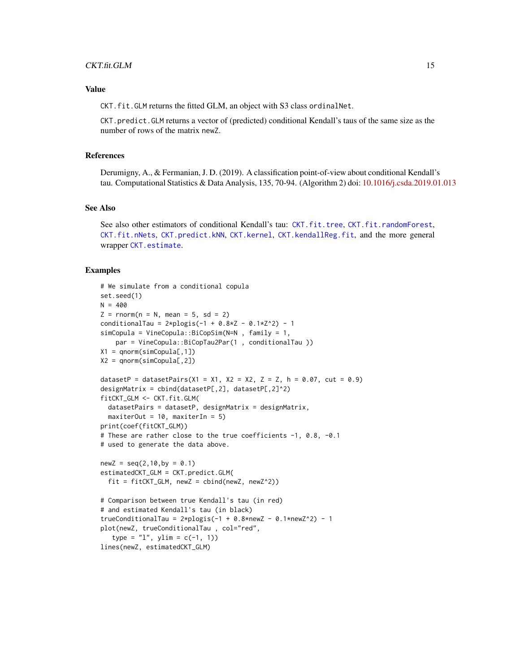# <span id="page-14-0"></span>CKT.fit.GLM 15

# Value

CKT.fit.GLM returns the fitted GLM, an object with S3 class ordinalNet.

CKT.predict.GLM returns a vector of (predicted) conditional Kendall's taus of the same size as the number of rows of the matrix newZ.

#### References

Derumigny, A., & Fermanian, J. D. (2019). A classification point-of-view about conditional Kendall's tau. Computational Statistics & Data Analysis, 135, 70-94. (Algorithm 2) doi: [10.1016/j.csda.2019.01.013](https://doi.org/10.1016/j.csda.2019.01.013)

#### See Also

See also other estimators of conditional Kendall's tau: [CKT.fit.tree](#page-19-1), [CKT.fit.randomForest](#page-16-1), [CKT.fit.nNets](#page-15-1), [CKT.predict.kNN](#page-30-1), [CKT.kernel](#page-28-1), [CKT.kendallReg.fit](#page-23-1), and the more general wrapper [CKT.estimate](#page-10-1).

```
# We simulate from a conditional copula
set.seed(1)
N = 400Z = rnorm(n = N, mean = 5, sd = 2)conditionalTau = 2 * p \log is(-1 + 0.8*Z - 0.1*Z^2) - 1
simCopula = VineCopula::BiCopSim(N=N , family = 1,
    par = VineCopula::BiCopTau2Par(1 , conditionalTau ))
X1 = qnorm(simCopula[, 1])X2 = qnorm(simCopula[, 2])datasetP = datasetPairs(X1 = X1, X2 = X2, Z = Z, h = 0.07, cut = 0.9)
designMatrix = cbind(datasetP[,2], datasetP[,2]^2)
fitCKT_GLM <- CKT.fit.GLM(
  datasetPairs = datasetP, designMatrix = designMatrix,
  maxiterOut = 10, maxiterIn = 5)print(coef(fitCKT_GLM))
# These are rather close to the true coefficients -1, 0.8, -0.1
# used to generate the data above.
newZ = seq(2, 10, by = 0.1)estimatedCKT_GLM = CKT.predict.GLM(
  fit = fitCKT\_GLM, newZ = cbind(newZ, newZ^2))
# Comparison between true Kendall's tau (in red)
# and estimated Kendall's tau (in black)
trueConditionalTau = 2 * plogis(-1 + 0.8 * newZ - 0.1 * newZ^2) - 1plot(newZ, trueConditionalTau , col="red",
   type = "1", ylim = c(-1, 1))lines(newZ, estimatedCKT_GLM)
```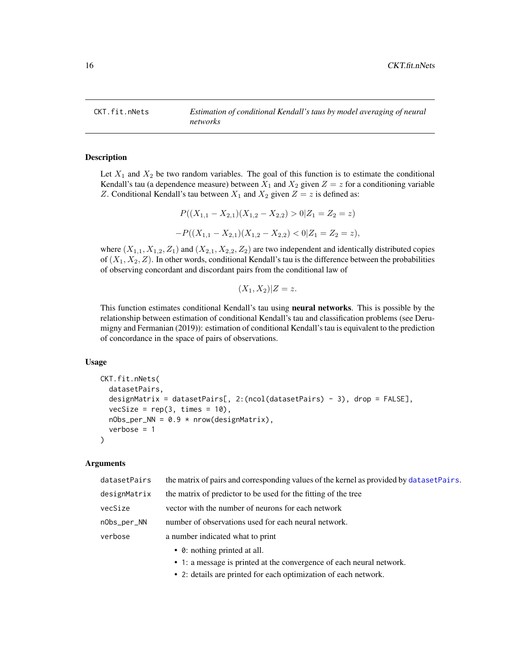<span id="page-15-1"></span><span id="page-15-0"></span>

# Description

Let  $X_1$  and  $X_2$  be two random variables. The goal of this function is to estimate the conditional Kendall's tau (a dependence measure) between  $X_1$  and  $X_2$  given  $Z = z$  for a conditioning variable Z. Conditional Kendall's tau between  $X_1$  and  $X_2$  given  $Z = z$  is defined as:

$$
P((X_{1,1} - X_{2,1})(X_{1,2} - X_{2,2}) > 0 | Z_1 = Z_2 = z)
$$
  
-
$$
P((X_{1,1} - X_{2,1})(X_{1,2} - X_{2,2}) < 0 | Z_1 = Z_2 = z),
$$

where  $(X_{1,1}, X_{1,2}, Z_1)$  and  $(X_{2,1}, X_{2,2}, Z_2)$  are two independent and identically distributed copies of  $(X_1, X_2, Z)$ . In other words, conditional Kendall's tau is the difference between the probabilities of observing concordant and discordant pairs from the conditional law of

 $(X_1, X_2)|Z = z.$ 

This function estimates conditional Kendall's tau using neural networks. This is possible by the relationship between estimation of conditional Kendall's tau and classification problems (see Derumigny and Fermanian (2019)): estimation of conditional Kendall's tau is equivalent to the prediction of concordance in the space of pairs of observations.

#### Usage

```
CKT.fit.nNets(
  datasetPairs,
  designMatrix = datasetPairs[, 2:(ncol(datasetPairs) - 3), drop = FALSE],
  vecSize = rep(3, times = 10),nObs\_per\_NN = 0.9 * new(designMatrix),
  verbose = 1
)
```

| datasetPairs | the matrix of pairs and corresponding values of the kernel as provided by dataset Pairs. |
|--------------|------------------------------------------------------------------------------------------|
| designMatrix | the matrix of predictor to be used for the fitting of the tree                           |
| vecSize      | vector with the number of neurons for each network                                       |
| nObs_per_NN  | number of observations used for each neural network.                                     |
| verbose      | a number indicated what to print                                                         |
|              | • 0: nothing printed at all.                                                             |

- 1: a message is printed at the convergence of each neural network.
- 2: details are printed for each optimization of each network.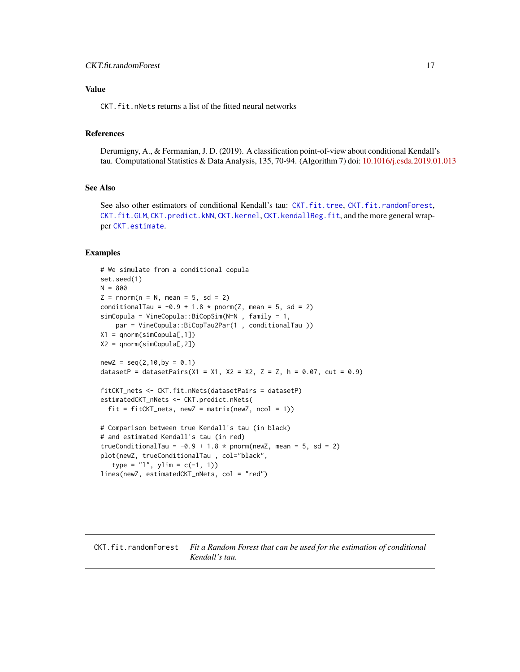# <span id="page-16-0"></span>Value

CKT.fit.nNets returns a list of the fitted neural networks

# References

Derumigny, A., & Fermanian, J. D. (2019). A classification point-of-view about conditional Kendall's tau. Computational Statistics & Data Analysis, 135, 70-94. (Algorithm 7) doi: [10.1016/j.csda.2019.01.013](https://doi.org/10.1016/j.csda.2019.01.013)

#### See Also

See also other estimators of conditional Kendall's tau: [CKT.fit.tree](#page-19-1), [CKT.fit.randomForest](#page-16-1), [CKT.fit.GLM](#page-13-1), [CKT.predict.kNN](#page-30-1), [CKT.kernel](#page-28-1), [CKT.kendallReg.fit](#page-23-1), and the more general wrapper [CKT.estimate](#page-10-1).

#### Examples

```
# We simulate from a conditional copula
set.seed(1)
N = 800
Z = rnorm(n = N, mean = 5, sd = 2)conditionalTau = -0.9 + 1.8 \times pnorm(Z, mean = 5, sd = 2)
simCopula = VineCopula::BiCopSim(N=N , family = 1,
    par = VineCopula::BiCopTau2Par(1 , conditionalTau ))
X1 = qnorm(simCopula[,1])
X2 = qnorm(sinCopula[, 2])newZ = seq(2, 10, by = 0.1)datasetP = datasetPairs(X1 = X1, X2 = X2, Z = Z, h = 0.07, cut = 0.9)
fitCKT_nets <- CKT.fit.nNets(datasetPairs = datasetP)
estimatedCKT_nNets <- CKT.predict.nNets(
  fit = fitCKT_nets, newZ = matrix(newZ, ncol = 1))
# Comparison between true Kendall's tau (in black)
# and estimated Kendall's tau (in red)
trueConditionalTau = -0.9 + 1.8 * pnorm(newZ, mean = 5, sd = 2)
plot(newZ, trueConditionalTau , col="black",
   type = "1", ylim = c(-1, 1))lines(newZ, estimatedCKT_nNets, col = "red")
```
<span id="page-16-1"></span>CKT.fit.randomForest *Fit a Random Forest that can be used for the estimation of conditional Kendall's tau.*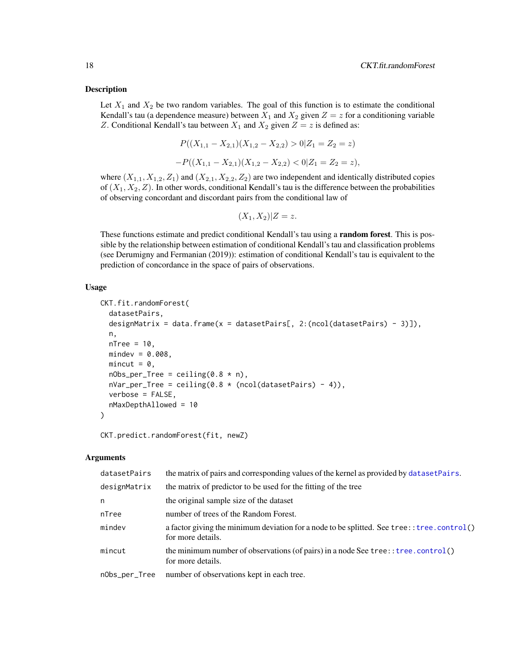#### <span id="page-17-0"></span>Description

Let  $X_1$  and  $X_2$  be two random variables. The goal of this function is to estimate the conditional Kendall's tau (a dependence measure) between  $X_1$  and  $X_2$  given  $Z = z$  for a conditioning variable Z. Conditional Kendall's tau between  $X_1$  and  $X_2$  given  $Z = z$  is defined as:

$$
P((X_{1,1} - X_{2,1})(X_{1,2} - X_{2,2}) > 0 | Z_1 = Z_2 = z)
$$
  
-
$$
P((X_{1,1} - X_{2,1})(X_{1,2} - X_{2,2}) < 0 | Z_1 = Z_2 = z),
$$

where  $(X_{1,1}, X_{1,2}, Z_1)$  and  $(X_{2,1}, X_{2,2}, Z_2)$  are two independent and identically distributed copies of  $(X_1, X_2, Z)$ . In other words, conditional Kendall's tau is the difference between the probabilities of observing concordant and discordant pairs from the conditional law of

$$
(X_1, X_2)|Z = z.
$$

These functions estimate and predict conditional Kendall's tau using a **random forest**. This is possible by the relationship between estimation of conditional Kendall's tau and classification problems (see Derumigny and Fermanian (2019)): estimation of conditional Kendall's tau is equivalent to the prediction of concordance in the space of pairs of observations.

## Usage

```
CKT.fit.randomForest(
  datasetPairs,
  designMatrix = data.frame(x = datasetPairs[, 2:(ncol(datasetPairs) - 3)]),
  n,
  nTree = 10,
 mindex = 0.008,mincut = 0,
  nObs\_per\_Tree = ceiling(0.8 * n),nVar\_per\_Tree = ceiling(0.8 * (ncol(datasetPairs) - 4)),verbose = FALSE,
  nMaxDepthAllowed = 10
)
```
CKT.predict.randomForest(fit, newZ)

| datasetPairs  | the matrix of pairs and corresponding values of the kernel as provided by dataset Pairs.                        |
|---------------|-----------------------------------------------------------------------------------------------------------------|
| designMatrix  | the matrix of predictor to be used for the fitting of the tree                                                  |
| n             | the original sample size of the dataset                                                                         |
| nTree         | number of trees of the Random Forest.                                                                           |
| mindev        | a factor giving the minimum deviation for a node to be splitted. See tree:: tree.control()<br>for more details. |
| mincut        | the minimum number of observations (of pairs) in a node See tree: $\text{tree}$ control()<br>for more details.  |
| nObs_per_Tree | number of observations kept in each tree.                                                                       |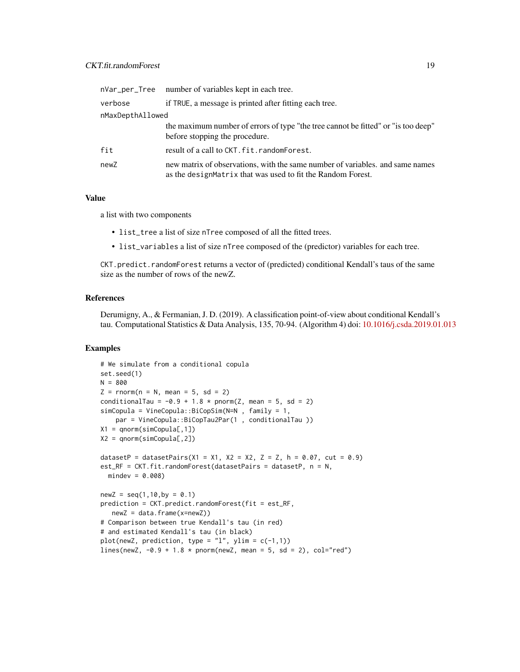|                  | nVar_per_Tree number of variables kept in each tree.                                                                                         |  |
|------------------|----------------------------------------------------------------------------------------------------------------------------------------------|--|
| verbose          | if TRUE, a message is printed after fitting each tree.                                                                                       |  |
| nMaxDepthAllowed |                                                                                                                                              |  |
|                  | the maximum number of errors of type "the tree cannot be fitted" or "is too deep"<br>before stopping the procedure.                          |  |
| fit              | result of a call to CKT. fit. randomForest.                                                                                                  |  |
| newZ             | new matrix of observations, with the same number of variables. and same names<br>as the designMatrix that was used to fit the Random Forest. |  |

#### Value

a list with two components

- list\_tree a list of size nTree composed of all the fitted trees.
- list\_variables a list of size nTree composed of the (predictor) variables for each tree.

CKT.predict.randomForest returns a vector of (predicted) conditional Kendall's taus of the same size as the number of rows of the newZ.

# References

Derumigny, A., & Fermanian, J. D. (2019). A classification point-of-view about conditional Kendall's tau. Computational Statistics & Data Analysis, 135, 70-94. (Algorithm 4) doi: [10.1016/j.csda.2019.01.013](https://doi.org/10.1016/j.csda.2019.01.013)

```
# We simulate from a conditional copula
set.seed(1)
N = 800Z = rnorm(n = N, mean = 5, sd = 2)conditionalTau = -0.9 + 1.8 \times pnorm(Z, mean = 5, sd = 2)
simCopula = VineCopula::BiCopSim(N=N , family = 1,
    par = VineCopula::BiCopTau2Par(1 , conditionalTau ))
X1 = qnorm(simCopula[, 1])X2 = qnorm(simCopula[,2])
datasetP = datasetPairs(X1 = X1, X2 = X2, Z = Z, h = 0.07, cut = 0.9)
est_RF = CKT.fit.randomForest(datasetPairs = datasetP, n = N,
  mindex = 0.008newZ = seq(1, 10, by = 0.1)prediction = CKT.predict.randomForest(fit = est_RF,
   newZ = data.frame(x=newZ))
# Comparison between true Kendall's tau (in red)
# and estimated Kendall's tau (in black)
plot(newZ, prediction, type = "l", ylim = c(-1,1))
lines(newZ, -0.9 + 1.8 \times pnorm(newZ, mean = 5, sd = 2), col="red")
```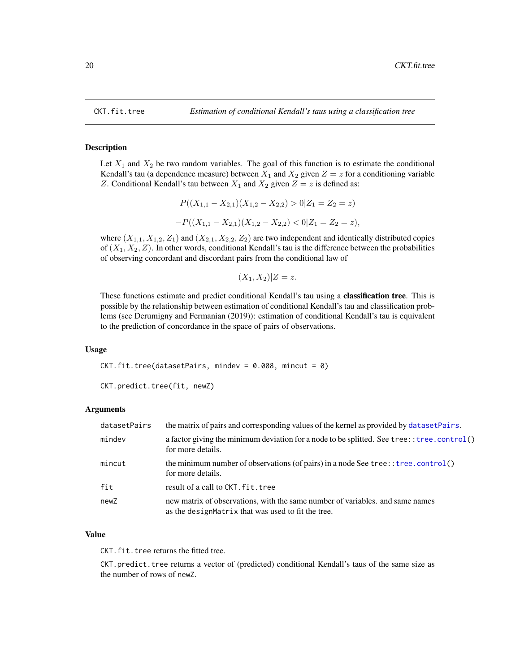<span id="page-19-1"></span><span id="page-19-0"></span>

#### Description

Let  $X_1$  and  $X_2$  be two random variables. The goal of this function is to estimate the conditional Kendall's tau (a dependence measure) between  $X_1$  and  $X_2$  given  $Z = z$  for a conditioning variable Z. Conditional Kendall's tau between  $X_1$  and  $X_2$  given  $Z = z$  is defined as:

$$
P((X_{1,1} - X_{2,1})(X_{1,2} - X_{2,2}) > 0 | Z_1 = Z_2 = z)
$$
  
-
$$
P((X_{1,1} - X_{2,1})(X_{1,2} - X_{2,2}) < 0 | Z_1 = Z_2 = z),
$$

where  $(X_{1,1}, X_{1,2}, Z_1)$  and  $(X_{2,1}, X_{2,2}, Z_2)$  are two independent and identically distributed copies of  $(X_1, X_2, Z)$ . In other words, conditional Kendall's tau is the difference between the probabilities of observing concordant and discordant pairs from the conditional law of

$$
(X_1, X_2)|Z = z.
$$

These functions estimate and predict conditional Kendall's tau using a classification tree. This is possible by the relationship between estimation of conditional Kendall's tau and classification problems (see Derumigny and Fermanian (2019)): estimation of conditional Kendall's tau is equivalent to the prediction of concordance in the space of pairs of observations.

#### Usage

 $CKT.fit.tree(datasetPairs, mindev = 0.008, mincut = 0)$ 

CKT.predict.tree(fit, newZ)

# Arguments

| datasetPairs | the matrix of pairs and corresponding values of the kernel as provided by datasetPairs.                                             |
|--------------|-------------------------------------------------------------------------------------------------------------------------------------|
| mindev       | a factor giving the minimum deviation for a node to be splitted. See tree: : tree.control()<br>for more details.                    |
| mincut       | the minimum number of observations (of pairs) in a node See tree: $t$ ree. control()<br>for more details.                           |
| fit          | result of a call to CKT. fit. tree                                                                                                  |
| newZ         | new matrix of observations, with the same number of variables, and same names<br>as the designMatrix that was used to fit the tree. |

#### Value

CKT. fit. tree returns the fitted tree.

CKT.predict.tree returns a vector of (predicted) conditional Kendall's taus of the same size as the number of rows of newZ.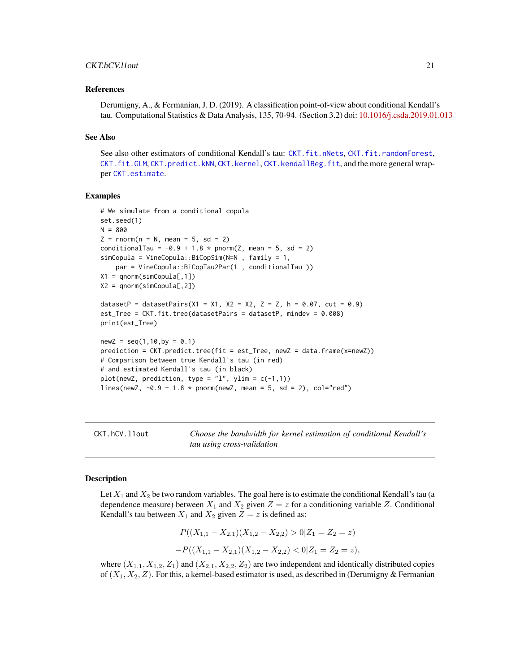#### <span id="page-20-0"></span>CKT.hCV.l1out 21

#### References

Derumigny, A., & Fermanian, J. D. (2019). A classification point-of-view about conditional Kendall's tau. Computational Statistics & Data Analysis, 135, 70-94. (Section 3.2) doi: [10.1016/j.csda.2019.01.013](https://doi.org/10.1016/j.csda.2019.01.013)

#### See Also

See also other estimators of conditional Kendall's tau: [CKT.fit.nNets](#page-15-1), [CKT.fit.randomForest](#page-16-1), [CKT.fit.GLM](#page-13-1), [CKT.predict.kNN](#page-30-1), [CKT.kernel](#page-28-1), [CKT.kendallReg.fit](#page-23-1), and the more general wrapper [CKT.estimate](#page-10-1).

#### Examples

```
# We simulate from a conditional copula
set.seed(1)
N = 800
Z = rnorm(n = N, mean = 5, sd = 2)conditionalTau = -0.9 + 1.8 * pnorm(Z, mean = 5, sd = 2)
simCopula = VineCopula::BiCopSim(N=N , family = 1,
   par = VineCopula::BiCopTau2Par(1 , conditionalTau ))
X1 = qnorm(simCopula[,1])
X2 = qnorm(simCopula[, 2])datasetP = datasetPairs(X1 = X1, X2 = X2, Z = Z, h = 0.07, cut = 0.9)
est_Tree = CKT.fit.tree(datasetPairs = datasetP, mindev = 0.008)
print(est_Tree)
newZ = seq(1, 10, by = 0.1)prediction = CKT.predict.tree(fit = est_Tree, newZ = data.frame(x=newZ))
# Comparison between true Kendall's tau (in red)
# and estimated Kendall's tau (in black)
plot(newZ, prediction, type = "l", ylim = c(-1,1))
lines(newZ, -0.9 + 1.8 * pnorm(newZ, mean = 5, sd = 2), col="red")
```
<span id="page-20-1"></span>CKT.hCV.l1out *Choose the bandwidth for kernel estimation of conditional Kendall's tau using cross-validation*

#### **Description**

Let  $X_1$  and  $X_2$  be two random variables. The goal here is to estimate the conditional Kendall's tau (a dependence measure) between  $X_1$  and  $X_2$  given  $Z = z$  for a conditioning variable Z. Conditional Kendall's tau between  $X_1$  and  $X_2$  given  $Z = z$  is defined as:

$$
P((X_{1,1} - X_{2,1})(X_{1,2} - X_{2,2}) > 0 | Z_1 = Z_2 = z)
$$
  
-
$$
P((X_{1,1} - X_{2,1})(X_{1,2} - X_{2,2}) < 0 | Z_1 = Z_2 = z),
$$

where  $(X_{1,1}, X_{1,2}, Z_1)$  and  $(X_{2,1}, X_{2,2}, Z_2)$  are two independent and identically distributed copies of  $(X_1, X_2, Z)$ . For this, a kernel-based estimator is used, as described in (Derumigny & Fermanian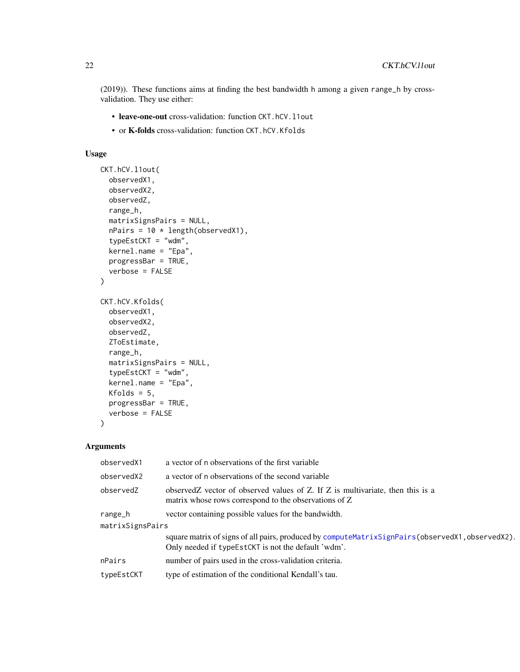<span id="page-21-0"></span>(2019)). These functions aims at finding the best bandwidth h among a given range\_h by crossvalidation. They use either:

- leave-one-out cross-validation: function CKT.hCV.l1out
- or K-folds cross-validation: function CKT.hCV.Kfolds

# Usage

```
CKT.hCV.l1out(
  observedX1,
  observedX2,
  observedZ,
  range_h,
  matrixSignsPairs = NULL,
  nPairs = 10 * length(observedX1),typeEstCKT = "wdm",
  kernel.name = "Epa",
 progressBar = TRUE,
  verbose = FALSE
\mathcal{L}CKT.hCV.Kfolds(
  observedX1,
  observedX2,
  observedZ,
  ZToEstimate,
  range_h,
  matrixSignsPairs = NULL,
  typeEstCKT = "wdm",
  kernel.name = "Epa",
 Kfolds = 5,
 progressBar = TRUE,
  verbose = FALSE
\lambda
```

| observedX1       | a vector of n observations of the first variable                                                                                                              |  |
|------------------|---------------------------------------------------------------------------------------------------------------------------------------------------------------|--|
| observedX2       | a vector of n observations of the second variable                                                                                                             |  |
| observedZ        | observed z vector of observed values of Z. If Z is multivariate, then this is a<br>matrix whose rows correspond to the observations of Z                      |  |
| range_h          | vector containing possible values for the bandwidth.                                                                                                          |  |
| matrixSignsPairs |                                                                                                                                                               |  |
|                  | square matrix of signs of all pairs, produced by compute MatrixSignPairs (observed X1, observed X2).<br>Only needed if type Est CKT is not the default 'wdm'. |  |
| nPairs           | number of pairs used in the cross-validation criteria.                                                                                                        |  |
| typeEstCKT       | type of estimation of the conditional Kendall's tau.                                                                                                          |  |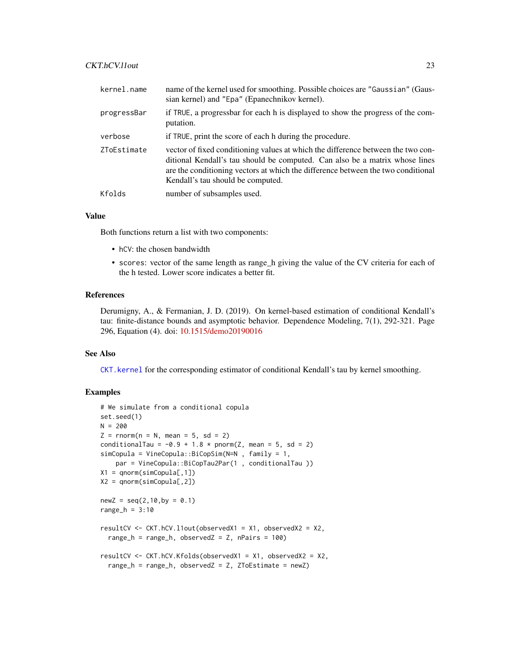# <span id="page-22-0"></span>CKT.hCV.l1out 23

| kernel.name | name of the kernel used for smoothing. Possible choices are "Gaussian" (Gaus-<br>sian kernel) and "Epa" (Epanechnikov kernel).                                                                                                                                                           |
|-------------|------------------------------------------------------------------------------------------------------------------------------------------------------------------------------------------------------------------------------------------------------------------------------------------|
| progressBar | if TRUE, a progressbar for each h is displayed to show the progress of the com-<br>putation.                                                                                                                                                                                             |
| verbose     | if TRUE, print the score of each h during the procedure.                                                                                                                                                                                                                                 |
| ZToEstimate | vector of fixed conditioning values at which the difference between the two con-<br>ditional Kendall's tau should be computed. Can also be a matrix whose lines<br>are the conditioning vectors at which the difference between the two conditional<br>Kendall's tau should be computed. |
| Kfolds      | number of subsamples used.                                                                                                                                                                                                                                                               |

# Value

Both functions return a list with two components:

- hCV: the chosen bandwidth
- scores: vector of the same length as range\_h giving the value of the CV criteria for each of the h tested. Lower score indicates a better fit.

# References

Derumigny, A., & Fermanian, J. D. (2019). On kernel-based estimation of conditional Kendall's tau: finite-distance bounds and asymptotic behavior. Dependence Modeling, 7(1), 292-321. Page 296, Equation (4). doi: [10.1515/demo20190016](https://doi.org/10.1515/demo-2019-0016)

#### See Also

[CKT.kernel](#page-28-1) for the corresponding estimator of conditional Kendall's tau by kernel smoothing.

```
# We simulate from a conditional copula
set.seed(1)
N = 200Z = rnorm(n = N, mean = 5, sd = 2)conditionalTau = -0.9 + 1.8 \times pnorm(Z, mean = 5, sd = 2)
simCopula = VineCopula::BiCopSim(N=N , family = 1,
   par = VineCopula::BiCopTau2Par(1 , conditionalTau ))
X1 = qnorm(simCopula[, 1])X2 = qnorm(simCopula[, 2])newZ = seq(2, 10, by = 0.1)range-h = 3:10resultCV <- CKT.hCV.l1out(observedX1 = X1, observedX2 = X2,
  range_h = range_h, observedZ = Z, nPairs = 100)
resultCV <- CKT.hCV.Kfolds(observedX1 = X1, observedX2 = X2,
  range_h = range_h, observedZ = Z, ZToEstimate = newZ)
```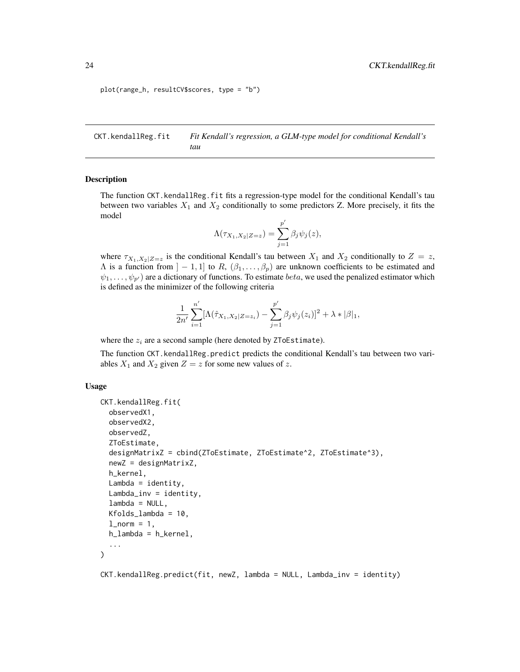```
plot(range_h, resultCV$scores, type = "b")
```
<span id="page-23-1"></span>CKT.kendallReg.fit *Fit Kendall's regression, a GLM-type model for conditional Kendall's tau*

#### Description

The function CKT. kendallReg. fit fits a regression-type model for the conditional Kendall's tau between two variables  $X_1$  and  $X_2$  conditionally to some predictors Z. More precisely, it fits the model

$$
\Lambda(\tau_{X_1,X_2|Z=z}) = \sum_{j=1}^{p'} \beta_j \psi_j(z),
$$

where  $\tau_{X_1,X_2|Z=z}$  is the conditional Kendall's tau between  $X_1$  and  $X_2$  conditionally to  $Z=z$ ,  $\Lambda$  is a function from  $]-1,1]$  to  $R, (\beta_1,\ldots,\beta_p)$  are unknown coefficients to be estimated and  $\psi_1, \ldots, \psi_{n'}$  are a dictionary of functions. To estimate *beta*, we used the penalized estimator which is defined as the minimizer of the following criteria

$$
\frac{1}{2n'}\sum_{i=1}^{n'}[\Lambda(\hat{\tau}_{X_1,X_2|Z=z_i})-\sum_{j=1}^{p'}\beta_j\psi_j(z_i)]^2+\lambda*|\beta|_1,
$$

where the  $z_i$  are a second sample (here denoted by ZToEstimate).

The function CKT. kendallReg.predict predicts the conditional Kendall's tau between two variables  $X_1$  and  $X_2$  given  $Z = z$  for some new values of z.

#### Usage

```
CKT.kendallReg.fit(
  observedX1,
  observedX2,
  observedZ,
  ZToEstimate,
  designMatrixZ = cbind(ZToEstimate, ZToEstimate^2, ZToEstimate^3),
  newZ = designMatrixZ,
  h_kernel,
  Lambda = identity,Lambda_inv = identity,lambda = NULL,Kfolds_lambda = 10,
  l_norm = 1,
  h_lambda = h_kernel,
  ...
)
```
CKT.kendallReg.predict(fit, newZ, lambda = NULL, Lambda\_inv = identity)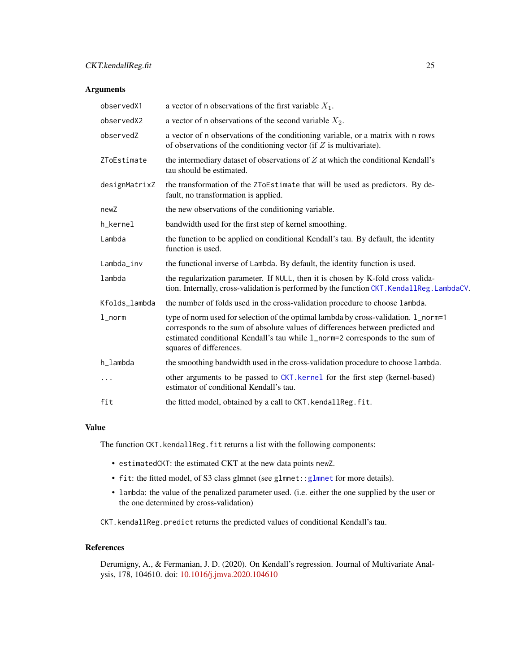<span id="page-24-0"></span>

| observedX1    | a vector of n observations of the first variable $X_1$ .                                                                                                                                                                                                                         |
|---------------|----------------------------------------------------------------------------------------------------------------------------------------------------------------------------------------------------------------------------------------------------------------------------------|
| observedX2    | a vector of n observations of the second variable $X_2$ .                                                                                                                                                                                                                        |
| observedZ     | a vector of n observations of the conditioning variable, or a matrix with n rows<br>of observations of the conditioning vector (if $Z$ is multivariate).                                                                                                                         |
| ZToEstimate   | the intermediary dataset of observations of $Z$ at which the conditional Kendall's<br>tau should be estimated.                                                                                                                                                                   |
| designMatrixZ | the transformation of the ZToEstimate that will be used as predictors. By de-<br>fault, no transformation is applied.                                                                                                                                                            |
| newZ          | the new observations of the conditioning variable.                                                                                                                                                                                                                               |
| h_kernel      | bandwidth used for the first step of kernel smoothing.                                                                                                                                                                                                                           |
| Lambda        | the function to be applied on conditional Kendall's tau. By default, the identity<br>function is used.                                                                                                                                                                           |
| Lambda_inv    | the functional inverse of Lambda. By default, the identity function is used.                                                                                                                                                                                                     |
| lambda        | the regularization parameter. If NULL, then it is chosen by K-fold cross valida-<br>tion. Internally, cross-validation is performed by the function CKT. KendallReg. LambdaCV.                                                                                                   |
| Kfolds_lambda | the number of folds used in the cross-validation procedure to choose lambda.                                                                                                                                                                                                     |
| $1$ _norm     | type of norm used for selection of the optimal lambda by cross-validation. 1_norm=1<br>corresponds to the sum of absolute values of differences between predicted and<br>estimated conditional Kendall's tau while 1_norm=2 corresponds to the sum of<br>squares of differences. |
| h_lambda      | the smoothing bandwidth used in the cross-validation procedure to choose lambda.                                                                                                                                                                                                 |
| $\cdots$      | other arguments to be passed to CKT. kernel for the first step (kernel-based)<br>estimator of conditional Kendall's tau.                                                                                                                                                         |
| fit           | the fitted model, obtained by a call to CKT. kendallReg. fit.                                                                                                                                                                                                                    |

#### Value

The function CKT. kendallReg. fit returns a list with the following components:

- estimatedCKT: the estimated CKT at the new data points newZ.
- fit: the fitted model, of S3 class glmnet (see glmnet:[:glmnet](#page-0-0) for more details).
- lambda: the value of the penalized parameter used. (i.e. either the one supplied by the user or the one determined by cross-validation)

CKT.kendallReg.predict returns the predicted values of conditional Kendall's tau.

# References

Derumigny, A., & Fermanian, J. D. (2020). On Kendall's regression. Journal of Multivariate Analysis, 178, 104610. doi: [10.1016/j.jmva.2020.104610](https://doi.org/10.1016/j.jmva.2020.104610)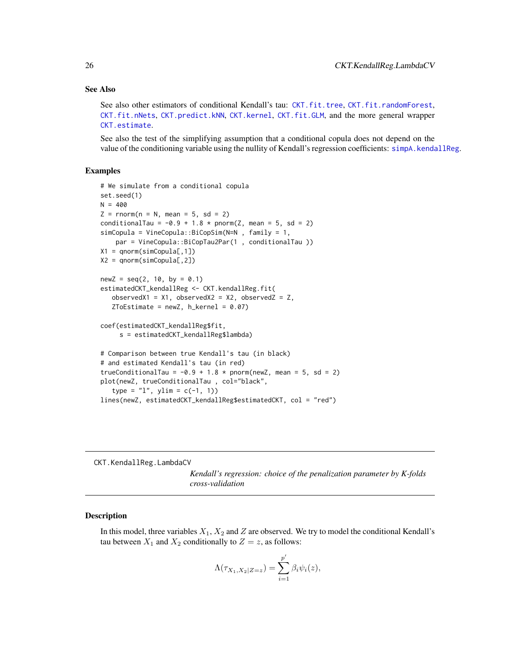#### See Also

See also other estimators of conditional Kendall's tau: [CKT.fit.tree](#page-19-1), [CKT.fit.randomForest](#page-16-1), [CKT.fit.nNets](#page-15-1), [CKT.predict.kNN](#page-30-1), [CKT.kernel](#page-28-1), [CKT.fit.GLM](#page-13-1), and the more general wrapper [CKT.estimate](#page-10-1).

See also the test of the simplifying assumption that a conditional copula does not depend on the value of the conditioning variable using the nullity of Kendall's regression coefficients: [simpA.kendallReg](#page-47-1).

# Examples

```
# We simulate from a conditional copula
set.seed(1)
N = 400Z = rnorm(n = N, mean = 5, sd = 2)conditionalTau = -0.9 + 1.8 * pnorm(Z, mean = 5, sd = 2)
simCopula = VineCopula::BiCopSim(N=N , family = 1,
    par = VineCopula::BiCopTau2Par(1 , conditionalTau ))
X1 = qnorm(simCopula[, 1])X2 = qnorm(simCopula[,2])
newZ = seq(2, 10, by = 0.1)estimatedCKT_kendallReg <- CKT.kendallReg.fit(
   observedX1 = X1, observedX2 = X2, observedZ = Z,
   ZToEstimate = newZ, h_{\text{general}} = 0.07coef(estimatedCKT_kendallReg$fit,
     s = estimatedCKT_kendallReg$lambda)
# Comparison between true Kendall's tau (in black)
# and estimated Kendall's tau (in red)
trueConditionalTau = -0.9 + 1.8 * pnorm(newZ, mean = 5, sd = 2)
plot(newZ, trueConditionalTau , col="black",
   type = "l", ylim = c(-1, 1))lines(newZ, estimatedCKT_kendallReg$estimatedCKT, col = "red")
```
<span id="page-25-1"></span>CKT.KendallReg.LambdaCV

*Kendall's regression: choice of the penalization parameter by K-folds cross-validation*

#### Description

In this model, three variables  $X_1, X_2$  and Z are observed. We try to model the conditional Kendall's tau between  $X_1$  and  $X_2$  conditionally to  $Z = z$ , as follows:

$$
\Lambda(\tau_{X_1,X_2|Z=z}) = \sum_{i=1}^{p'} \beta_i \psi_i(z),
$$

<span id="page-25-0"></span>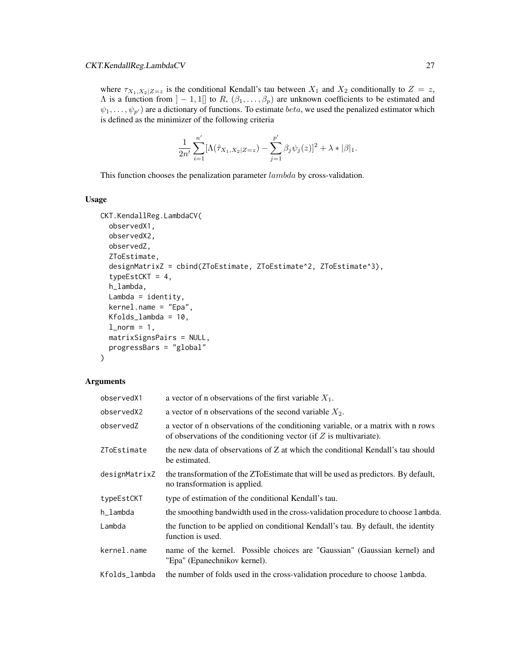where  $\tau_{X_1,X_2|Z=z}$  is the conditional Kendall's tau between  $X_1$  and  $X_2$  conditionally to  $Z=z$ ,  $\Lambda$  is a function from  $]-1,1[]$  to  $R, (\beta_1,\ldots,\beta_p)$  are unknown coefficients to be estimated and  $\psi_1, \ldots, \psi_{p'}$  are a dictionary of functions. To estimate *beta*, we used the penalized estimator which is defined as the minimizer of the following criteria

$$
\frac{1}{2n'}\sum_{i=1}^{n'}[\Lambda(\hat{\tau}_{X_1,X_2|Z=z})-\sum_{j=1}^{p'}\beta_j\psi_j(z)]^2+\lambda*|\beta|_1.
$$

This function chooses the penalization parameter lambda by cross-validation.

# Usage

```
CKT.KendallReg.LambdaCV(
  observedX1,
  observedX2,
  observedZ,
  ZToEstimate,
  designMatrixZ = cbind(ZToEstimate, ZToEstimate^2, ZToEstimate^3),
  typeEstCKT = 4,
  h_lambda,
  Lambda = identity,
  kernel.name = "Epa",
  Kfolds_lambda = 10,
  l\_norm = 1,
  matrixSignsPairs = NULL,
 progressBars = "global"
\mathcal{L}
```

| observedX1    | a vector of n observations of the first variable $X_1$ .                                                                                                 |
|---------------|----------------------------------------------------------------------------------------------------------------------------------------------------------|
| observedX2    | a vector of n observations of the second variable $X_2$ .                                                                                                |
| observedZ     | a vector of n observations of the conditioning variable, or a matrix with n rows<br>of observations of the conditioning vector (if $Z$ is multivariate). |
| ZToEstimate   | the new data of observations of Z at which the conditional Kendall's tau should<br>be estimated.                                                         |
| designMatrixZ | the transformation of the ZToEstimate that will be used as predictors. By default,<br>no transformation is applied.                                      |
| typeEstCKT    | type of estimation of the conditional Kendall's tau.                                                                                                     |
| h_lambda      | the smoothing bandwidth used in the cross-validation procedure to choose lambda.                                                                         |
| Lambda        | the function to be applied on conditional Kendall's tau. By default, the identity<br>function is used.                                                   |
| kernel.name   | name of the kernel. Possible choices are "Gaussian" (Gaussian kernel) and<br>"Epa" (Epanechnikov kernel).                                                |
| Kfolds_lambda | the number of folds used in the cross-validation procedure to choose lambda.                                                                             |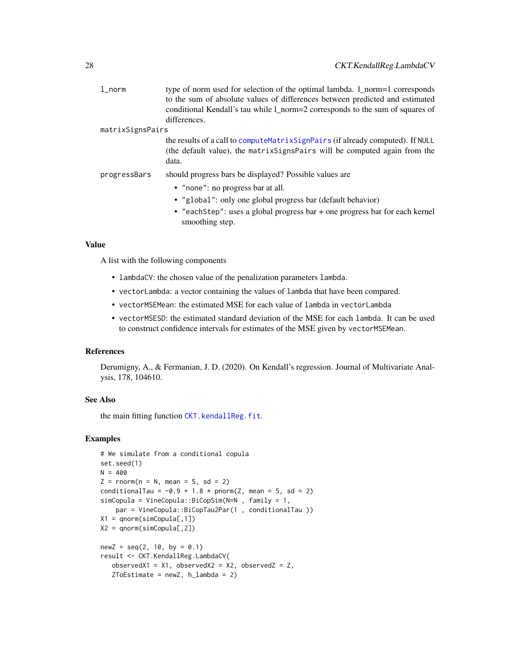<span id="page-27-0"></span>

| $1$ _norm        | type of norm used for selection of the optimal lambda. 1_norm=1 corresponds<br>to the sum of absolute values of differences between predicted and estimated<br>conditional Kendall's tau while 1_norm=2 corresponds to the sum of squares of<br>differences. |
|------------------|--------------------------------------------------------------------------------------------------------------------------------------------------------------------------------------------------------------------------------------------------------------|
| matrixSignsPairs |                                                                                                                                                                                                                                                              |
|                  | the results of a call to compute Matrix Sign Pairs (if already computed). If NULL<br>(the default value), the matrix Signs Pairs will be computed again from the<br>data.                                                                                    |
| progressBars     | should progress bars be displayed? Possible values are                                                                                                                                                                                                       |
|                  | • "none": no progress bar at all.                                                                                                                                                                                                                            |
|                  | • "global": only one global progress bar (default behavior)                                                                                                                                                                                                  |
|                  | • "eachStep": uses a global progress bar + one progress bar for each kernel<br>smoothing step.                                                                                                                                                               |

# Value

A list with the following components

- lambdaCV: the chosen value of the penalization parameters lambda.
- vectorLambda: a vector containing the values of lambda that have been compared.
- vectorMSEMean: the estimated MSE for each value of lambda in vectorLambda
- vectorMSESD: the estimated standard deviation of the MSE for each lambda. It can be used to construct confidence intervals for estimates of the MSE given by vectorMSEMean.

#### References

Derumigny, A., & Fermanian, J. D. (2020). On Kendall's regression. Journal of Multivariate Analysis, 178, 104610.

# See Also

the main fitting function [CKT.kendallReg.fit](#page-23-1).

```
# We simulate from a conditional copula
set.seed(1)
N = 400Z = rnorm(n = N, mean = 5, sd = 2)conditionalTau = -0.9 + 1.8 \times pnorm(Z, mean = 5, sd = 2)
simCopula = VineCopula::BiCopSim(N=N , family = 1,
    par = VineCopula::BiCopTau2Par(1 , conditionalTau ))
X1 = qnorm(simCopula[, 1])X2 = qnorm(simCopula[,2])
newZ = seq(2, 10, by = 0.1)result <- CKT.KendallReg.LambdaCV(
   observedX1 = X1, observedX2 = X2, observedZ = Z,
   ZToEstimate = newZ, h_lambda = 2)
```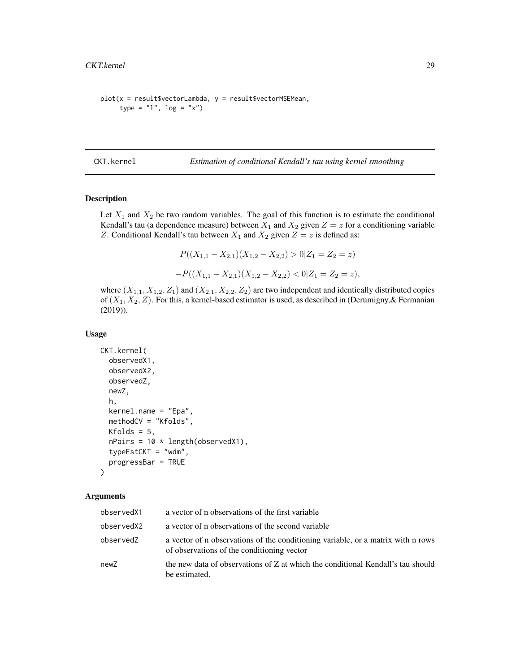```
plot(x = result$vectorLambda, y = result$vectorMSEMean,
     type = "1", log = "x")
```
<span id="page-28-1"></span>CKT.kernel *Estimation of conditional Kendall's tau using kernel smoothing*

# Description

Let  $X_1$  and  $X_2$  be two random variables. The goal of this function is to estimate the conditional Kendall's tau (a dependence measure) between  $X_1$  and  $X_2$  given  $Z = z$  for a conditioning variable Z. Conditional Kendall's tau between  $X_1$  and  $X_2$  given  $Z = z$  is defined as:

$$
P((X_{1,1} - X_{2,1})(X_{1,2} - X_{2,2}) > 0 | Z_1 = Z_2 = z)
$$
  
-
$$
P((X_{1,1} - X_{2,1})(X_{1,2} - X_{2,2}) < 0 | Z_1 = Z_2 = z),
$$

where  $(X_{1,1}, X_{1,2}, Z_1)$  and  $(X_{2,1}, X_{2,2}, Z_2)$  are two independent and identically distributed copies of  $(X_1, X_2, Z)$ . For this, a kernel-based estimator is used, as described in (Derumigny, & Fermanian (2019)).

#### Usage

```
CKT.kernel(
  observedX1,
  observedX2,
  observedZ,
  newZ,
  h,
  kernel.name = "Epa",
  methodCV = "Kfolds",
 Kfolds = 5,
  nPairs = 10 * length(observedX1),typeEstCKT = "wdm",
  progressBar = TRUE
)
```

| observedX1 | a vector of n observations of the first variable                                                                               |
|------------|--------------------------------------------------------------------------------------------------------------------------------|
| observedX2 | a vector of n observations of the second variable                                                                              |
| observedZ  | a vector of n observations of the conditioning variable, or a matrix with n rows<br>of observations of the conditioning vector |
| newZ       | the new data of observations of Z at which the conditional Kendall's tau should<br>be estimated.                               |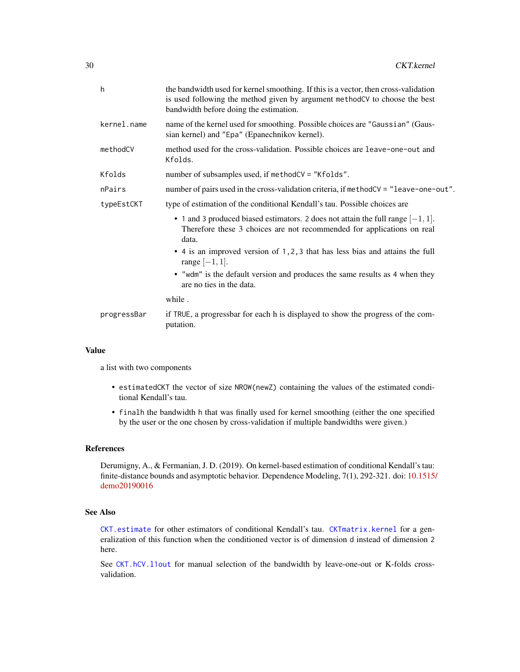<span id="page-29-0"></span>

| h           | the bandwidth used for kernel smoothing. If this is a vector, then cross-validation<br>is used following the method given by argument methodCV to choose the best<br>bandwidth before doing the estimation. |
|-------------|-------------------------------------------------------------------------------------------------------------------------------------------------------------------------------------------------------------|
| kernel.name | name of the kernel used for smoothing. Possible choices are "Gaussian" (Gaus-<br>sian kernel) and "Epa" (Epanechnikov kernel).                                                                              |
| methodCV    | method used for the cross-validation. Possible choices are leave-one-out and<br>Kfolds.                                                                                                                     |
| Kfolds      | number of subsamples used, if methodCV = "Kfolds".                                                                                                                                                          |
| nPairs      | number of pairs used in the cross-validation criteria, if methodCV = "leave-one-out".                                                                                                                       |
| typeEstCKT  | type of estimation of the conditional Kendall's tau. Possible choices are                                                                                                                                   |
|             | • 1 and 3 produced biased estimators. 2 does not attain the full range $[-1, 1]$ .<br>Therefore these 3 choices are not recommended for applications on real<br>data.                                       |
|             | • 4 is an improved version of 1, 2, 3 that has less bias and attains the full<br>range $[-1, 1]$ .                                                                                                          |
|             | • "wdm" is the default version and produces the same results as 4 when they<br>are no ties in the data.                                                                                                     |
|             | while.                                                                                                                                                                                                      |
| progressBar | if TRUE, a progressbar for each h is displayed to show the progress of the com-<br>putation.                                                                                                                |
|             |                                                                                                                                                                                                             |

# Value

a list with two components

- estimatedCKT the vector of size NROW(newZ) containing the values of the estimated conditional Kendall's tau.
- finalh the bandwidth h that was finally used for kernel smoothing (either the one specified by the user or the one chosen by cross-validation if multiple bandwidths were given.)

# References

Derumigny, A., & Fermanian, J. D. (2019). On kernel-based estimation of conditional Kendall's tau: finite-distance bounds and asymptotic behavior. Dependence Modeling, 7(1), 292-321. doi: [10.1515/](https://doi.org/10.1515/demo-2019-0016) [demo20190016](https://doi.org/10.1515/demo-2019-0016)

#### See Also

[CKT.estimate](#page-10-1) for other estimators of conditional Kendall's tau. [CKTmatrix.kernel](#page-33-1) for a generalization of this function when the conditioned vector is of dimension d instead of dimension 2 here.

See [CKT.hCV.l1out](#page-20-1) for manual selection of the bandwidth by leave-one-out or K-folds crossvalidation.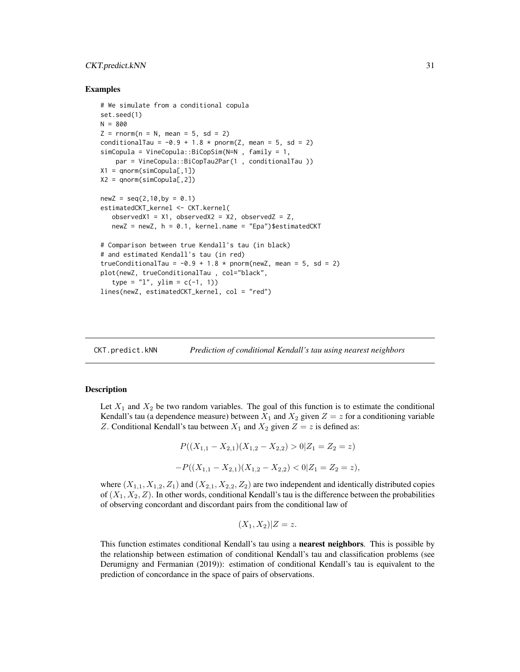#### <span id="page-30-0"></span>CKT.predict.kNN 31

#### Examples

```
# We simulate from a conditional copula
set.seed(1)
N = 800Z = rnorm(n = N, mean = 5, sd = 2)conditionalTau = -0.9 + 1.8 \times pnorm(Z, mean = 5, sd = 2)
simCopula = VineCopula::BiCopSim(N=N , family = 1,
    par = VineCopula::BiCopTau2Par(1 , conditionalTau ))
X1 = qnorm(simCopula[, 1])X2 = qnorm(simCopula[,2])
newZ = seq(2, 10, by = 0.1)estimatedCKT_kernel <- CKT.kernel(
   observedX1 = X1, observedX2 = X2, observedZ = Z,
   newZ = newZ, h = 0.1, kernel.name = "Epa")$estimatedCKT
# Comparison between true Kendall's tau (in black)
# and estimated Kendall's tau (in red)
trueConditionalTau = -0.9 + 1.8 \times pnorm(newZ, mean = 5, sd = 2)
plot(newZ, trueConditionalTau , col="black",
   type = "1", ylim = c(-1, 1))lines(newZ, estimatedCKT_kernel, col = "red")
```
<span id="page-30-1"></span>CKT.predict.kNN *Prediction of conditional Kendall's tau using nearest neighbors*

#### **Description**

Let  $X_1$  and  $X_2$  be two random variables. The goal of this function is to estimate the conditional Kendall's tau (a dependence measure) between  $X_1$  and  $X_2$  given  $Z = z$  for a conditioning variable Z. Conditional Kendall's tau between  $X_1$  and  $X_2$  given  $Z = z$  is defined as:

$$
P((X_{1,1} - X_{2,1})(X_{1,2} - X_{2,2}) > 0 | Z_1 = Z_2 = z)
$$
  
-
$$
P((X_{1,1} - X_{2,1})(X_{1,2} - X_{2,2}) < 0 | Z_1 = Z_2 = z),
$$

where  $(X_{1,1}, X_{1,2}, Z_1)$  and  $(X_{2,1}, X_{2,2}, Z_2)$  are two independent and identically distributed copies of  $(X_1, X_2, Z)$ . In other words, conditional Kendall's tau is the difference between the probabilities of observing concordant and discordant pairs from the conditional law of

$$
(X_1, X_2)|Z = z.
$$

This function estimates conditional Kendall's tau using a **nearest neighbors**. This is possible by the relationship between estimation of conditional Kendall's tau and classification problems (see Derumigny and Fermanian (2019)): estimation of conditional Kendall's tau is equivalent to the prediction of concordance in the space of pairs of observations.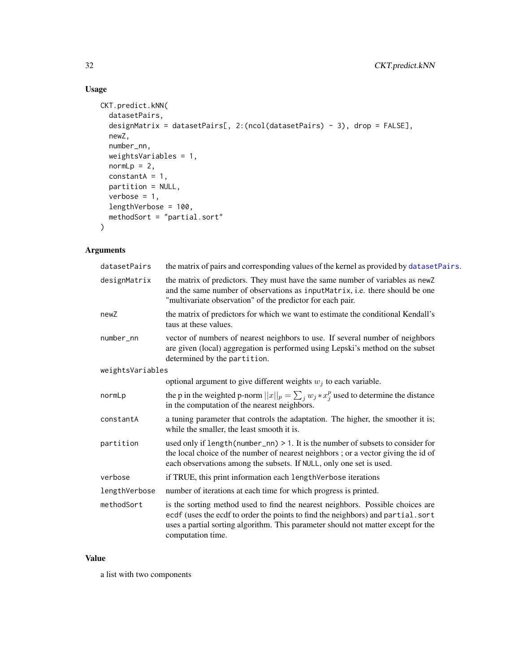# Usage

```
CKT.predict.kNN(
  datasetPairs,
  designMatrix = datasetPairs[, 2:(ncol(datasetPairs) - 3), drop = FALSE],
 newZ,
 number_nn,
 weightsVariables = 1,
 normLp = 2,
 constantA = 1,partition = NULL,
 verbose = 1,
 lengthVerbose = 100,
 methodSort = "partial.sort"
\mathcal{L}
```
# Arguments

| datasetPairs     | the matrix of pairs and corresponding values of the kernel as provided by datasetPairs.                                                                                                                                                                                     |
|------------------|-----------------------------------------------------------------------------------------------------------------------------------------------------------------------------------------------------------------------------------------------------------------------------|
| designMatrix     | the matrix of predictors. They must have the same number of variables as newZ<br>and the same number of observations as inputMatrix, i.e. there should be one<br>"multivariate observation" of the predictor for each pair.                                                 |
| newZ             | the matrix of predictors for which we want to estimate the conditional Kendall's<br>taus at these values.                                                                                                                                                                   |
| $number\_nn$     | vector of numbers of nearest neighbors to use. If several number of neighbors<br>are given (local) aggregation is performed using Lepski's method on the subset<br>determined by the partition.                                                                             |
| weightsVariables |                                                                                                                                                                                                                                                                             |
|                  | optional argument to give different weights $w_i$ to each variable.                                                                                                                                                                                                         |
| normLp           | the p in the weighted p-norm $  x  _p = \sum_i w_i * x_i^p$ used to determine the distance<br>in the computation of the nearest neighbors.                                                                                                                                  |
| constantA        | a tuning parameter that controls the adaptation. The higher, the smoother it is;<br>while the smaller, the least smooth it is.                                                                                                                                              |
| partition        | used only if $length(number_n n) > 1$ . It is the number of subsets to consider for<br>the local choice of the number of nearest neighbors; or a vector giving the id of<br>each observations among the subsets. If NULL, only one set is used.                             |
| verbose          | if TRUE, this print information each lengthVerbose iterations                                                                                                                                                                                                               |
| lengthVerbose    | number of iterations at each time for which progress is printed.                                                                                                                                                                                                            |
| methodSort       | is the sorting method used to find the nearest neighbors. Possible choices are<br>ecdf (uses the ecdf to order the points to find the neighbors) and partial.sort<br>uses a partial sorting algorithm. This parameter should not matter except for the<br>computation time. |

# Value

a list with two components

<span id="page-31-0"></span>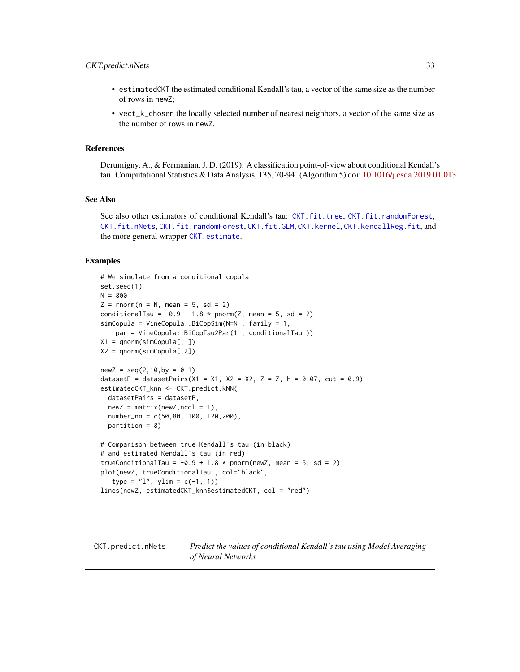#### <span id="page-32-0"></span>CKT.predict.nNets 33

- estimatedCKT the estimated conditional Kendall's tau, a vector of the same size as the number of rows in newZ;
- vect\_k\_chosen the locally selected number of nearest neighbors, a vector of the same size as the number of rows in newZ.

#### References

Derumigny, A., & Fermanian, J. D. (2019). A classification point-of-view about conditional Kendall's tau. Computational Statistics & Data Analysis, 135, 70-94. (Algorithm 5) doi: [10.1016/j.csda.2019.01.013](https://doi.org/10.1016/j.csda.2019.01.013)

#### See Also

See also other estimators of conditional Kendall's tau: [CKT.fit.tree](#page-19-1), [CKT.fit.randomForest](#page-16-1), [CKT.fit.nNets](#page-15-1), [CKT.fit.randomForest](#page-16-1), [CKT.fit.GLM](#page-13-1), [CKT.kernel](#page-28-1), [CKT.kendallReg.fit](#page-23-1), and the more general wrapper [CKT.estimate](#page-10-1).

```
# We simulate from a conditional copula
set.seed(1)
N = 800
Z = \text{rnorm}(n = N, \text{ mean } = 5, \text{ sd } = 2)conditionalTau = -0.9 + 1.8 * pnorm(Z, mean = 5, sd = 2)
simCopula = VineCopula::BiCopSim(N=N , family = 1,
    par = VineCopula::BiCopTau2Par(1 , conditionalTau ))
X1 = qnorm(sinCopula[, 1])X2 = qnorm(simCopula[, 2])newZ = seq(2, 10, by = 0.1)datasetP = datasetPairs(X1 = X1, X2 = X2, Z = Z, h = 0.07, cut = 0.9)
estimatedCKT_knn <- CKT.predict.kNN(
  datasetPairs = datasetP,
  newZ = matrix(newZ, ncol = 1),
  number_nn = c(50,80, 100, 120,200),
  partition = 8)
# Comparison between true Kendall's tau (in black)
# and estimated Kendall's tau (in red)
trueConditionalTau = -0.9 + 1.8 * pnorm(newZ, mean = 5, sd = 2)
plot(newZ, trueConditionalTau , col="black",
   type = "1", ylim = c(-1, 1))lines(newZ, estimatedCKT_knn$estimatedCKT, col = "red")
```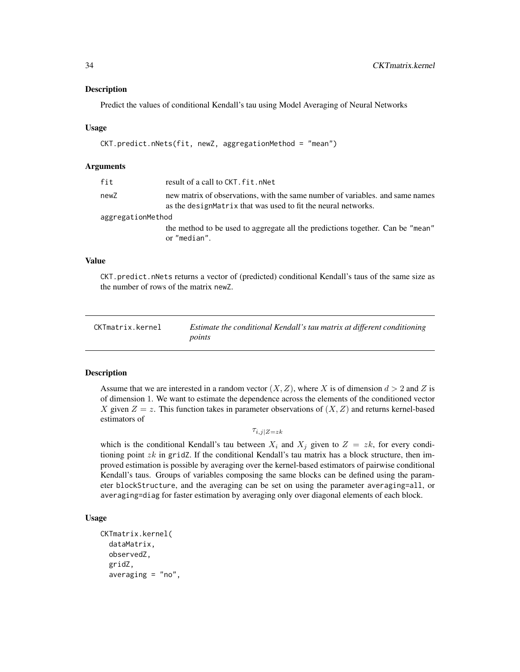#### <span id="page-33-0"></span>Description

Predict the values of conditional Kendall's tau using Model Averaging of Neural Networks

#### Usage

```
CKT.predict.nNets(fit, newZ, aggregationMethod = "mean")
```
#### **Arguments**

| fit               | result of a call to CKT. fit. nNet                                                                                                              |  |
|-------------------|-------------------------------------------------------------------------------------------------------------------------------------------------|--|
| newZ              | new matrix of observations, with the same number of variables, and same names<br>as the design Matrix that was used to fit the neural networks. |  |
| aggregationMethod |                                                                                                                                                 |  |
|                   | the method to be used to aggregate all the predictions together. Can be "mean"<br>or "median".                                                  |  |

# Value

CKT.predict.nNets returns a vector of (predicted) conditional Kendall's taus of the same size as the number of rows of the matrix newZ.

<span id="page-33-1"></span>

| CKTmatrix.kernel | Estimate the conditional Kendall's tau matrix at different conditioning |
|------------------|-------------------------------------------------------------------------|
|                  | points                                                                  |

#### **Description**

Assume that we are interested in a random vector  $(X, Z)$ , where X is of dimension  $d > 2$  and Z is of dimension 1. We want to estimate the dependence across the elements of the conditioned vector X given  $Z = z$ . This function takes in parameter observations of  $(X, Z)$  and returns kernel-based estimators of

 $\tau_{i,j|Z=zk}$ 

which is the conditional Kendall's tau between  $X_i$  and  $X_j$  given to  $Z = zk$ , for every conditioning point  $zk$  in gridZ. If the conditional Kendall's tau matrix has a block structure, then improved estimation is possible by averaging over the kernel-based estimators of pairwise conditional Kendall's taus. Groups of variables composing the same blocks can be defined using the parameter blockStructure, and the averaging can be set on using the parameter averaging=all, or averaging=diag for faster estimation by averaging only over diagonal elements of each block.

# Usage

```
CKTmatrix.kernel(
 dataMatrix,
 observedZ,
  gridZ,
  average = "no",
```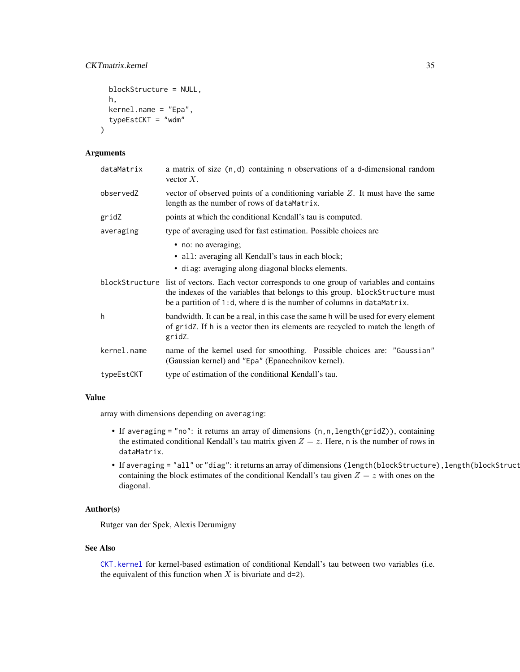```
blockStructure = NULL,
h,
kernel.name = "Epa",
typeEstCKT = "wdm"
```
 $\lambda$ 

| dataMatrix  | a matrix of size $(n, d)$ containing n observations of a d-dimensional random<br>vector $X$ .                                                                                                                                                            |
|-------------|----------------------------------------------------------------------------------------------------------------------------------------------------------------------------------------------------------------------------------------------------------|
| observedZ   | vector of observed points of a conditioning variable $Z$ . It must have the same<br>length as the number of rows of dataMatrix.                                                                                                                          |
| gridZ       | points at which the conditional Kendall's tau is computed.                                                                                                                                                                                               |
| averaging   | type of averaging used for fast estimation. Possible choices are                                                                                                                                                                                         |
|             | • no: no averaging;                                                                                                                                                                                                                                      |
|             | • all: averaging all Kendall's taus in each block;                                                                                                                                                                                                       |
|             | • diag: averaging along diagonal blocks elements.                                                                                                                                                                                                        |
|             | blockStructure list of vectors. Each vector corresponds to one group of variables and contains<br>the indexes of the variables that belongs to this group. blockStructure must<br>be a partition of 1:d, where d is the number of columns in dataMatrix. |
| h           | bandwidth. It can be a real, in this case the same h will be used for every element<br>of gridz. If h is a vector then its elements are recycled to match the length of<br>gridZ.                                                                        |
| kernel.name | name of the kernel used for smoothing. Possible choices are: "Gaussian"<br>(Gaussian kernel) and "Epa" (Epanechnikov kernel).                                                                                                                            |
| typeEstCKT  | type of estimation of the conditional Kendall's tau.                                                                                                                                                                                                     |

# Value

array with dimensions depending on averaging:

- If averaging = "no": it returns an array of dimensions  $(n, n, length(gridZ))$ , containing the estimated conditional Kendall's tau matrix given  $Z = z$ . Here, n is the number of rows in dataMatrix.
- If averaging = "all" or "diag": it returns an array of dimensions (length(blockStructure), length(blockStruct containing the block estimates of the conditional Kendall's tau given  $Z = z$  with ones on the diagonal.

# Author(s)

Rutger van der Spek, Alexis Derumigny

# See Also

[CKT.kernel](#page-28-1) for kernel-based estimation of conditional Kendall's tau between two variables (i.e. the equivalent of this function when  $X$  is bivariate and d=2).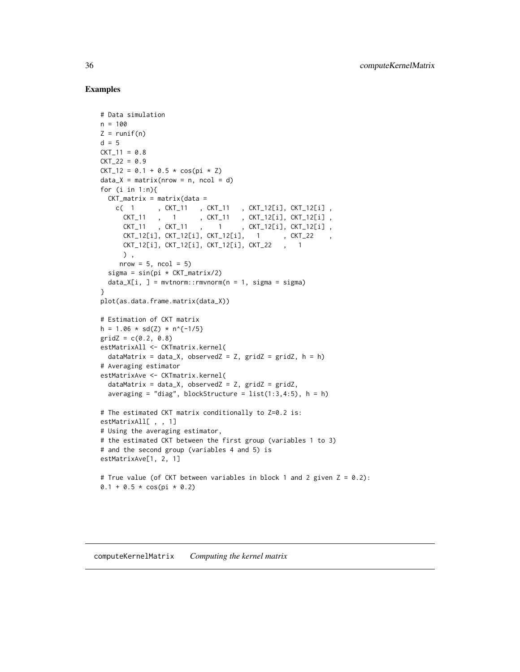```
# Data simulation
n = 100Z = runif(n)d = 5CKT_11 = 0.8CKT_22 = 0.9CKT_12 = 0.1 + 0.5 * cos(pi * Z)data_X = matrix(nrow = n, ncol = d)for (i \text{ in } 1:n)CKT_matrix = matrix(data =c( 1 , CKT_11 , CKT_11 , CKT_12[i], CKT_12[i] ,
      CKT_11 , 1 , CKT_11 , CKT_12[i], CKT_12[i] ,
      CKT_11 , CKT_11 , 1 , CKT_12[i], CKT_12[i] ,
      CKT_12[i], CKT_12[i], CKT_12[i], 1 , CKT_22 ,
      CKT_12[i], CKT_12[i], CKT_12[i], CKT_22 , 1
     ) ,
     nrow = 5, ncol = 5)
  sigma = sin(pi * CKT_matrix/2)data_X[i, ] = mvtnorm::rmvnorm(n = 1, sigma = sigma)}
plot(as.data.frame.matrix(data_X))
# Estimation of CKT matrix
h = 1.06 \star sd(Z) \star n^{-1/5}
gridZ = c(0.2, 0.8)estMatrixAll <- CKTmatrix.kernel(
  dataMatrix = data_X, observedZ = Z, gridZ = gridZ, h = h)
# Averaging estimator
estMatrixAve <- CKTmatrix.kernel(
  dataMatrix = data_X, observedZ = Z, gridZ = gridZ,
  averaging = "diag", blockStructure = list(1:3,4:5), h = h)
# The estimated CKT matrix conditionally to Z=0.2 is:
estMatrixAll[ , , 1]
# Using the averaging estimator,
# the estimated CKT between the first group (variables 1 to 3)
# and the second group (variables 4 and 5) is
estMatrixAve[1, 2, 1]
# True value (of CKT between variables in block 1 and 2 given Z = 0.2):
0.1 + 0.5 * cos(pi * 0.2)
```
<span id="page-35-0"></span>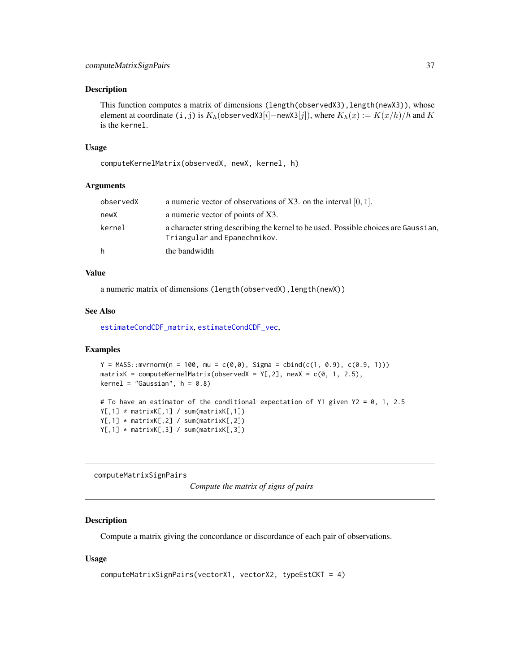#### <span id="page-36-0"></span>Description

This function computes a matrix of dimensions (length(observedX3), length(newX3)), whose element at coordinate (i,j) is  $K_h(\text{observedX3}[i]-\text{newX3}[j])$ , where  $K_h(x) := K(x/h)/h$  and K is the kernel.

#### Usage

computeKernelMatrix(observedX, newX, kernel, h)

#### Arguments

| observedX | a numeric vector of observations of $X3$ . on the interval [0, 1].                                                  |
|-----------|---------------------------------------------------------------------------------------------------------------------|
| newX      | a numeric vector of points of X3.                                                                                   |
| kernel    | a character string describing the kernel to be used. Possible choices are Gaussian,<br>Triangular and Epanechnikov. |
| h         | the bandwidth                                                                                                       |

#### Value

a numeric matrix of dimensions (length(observedX), length(newX))

#### See Also

[estimateCondCDF\\_matrix](#page-40-1), [estimateCondCDF\\_vec](#page-41-1),

# Examples

```
Y = MASS::mvrnorm(n = 100, mu = c(0,0), Sigma = chind(c(1, 0.9), c(0.9, 1)))matrixK = computeKernelMatrix(observedX = Y[, 2], newX = c(0, 1, 2.5),kernel = "Gaussian", h = 0.8)
```

```
# To have an estimator of the conditional expectation of Y1 given Y2 = 0, 1, 2.5
Y[,1] * matrixK[,1] / sum(matrixK[,1])Y[,1] * matrixK[,2] / sum(matrixK[,2])Y[,1] * matrixK[,3] / sum(matrixK[,3])
```
<span id="page-36-1"></span>computeMatrixSignPairs

*Compute the matrix of signs of pairs*

# Description

Compute a matrix giving the concordance or discordance of each pair of observations.

#### Usage

```
computeMatrixSignPairs(vectorX1, vectorX2, typeEstCKT = 4)
```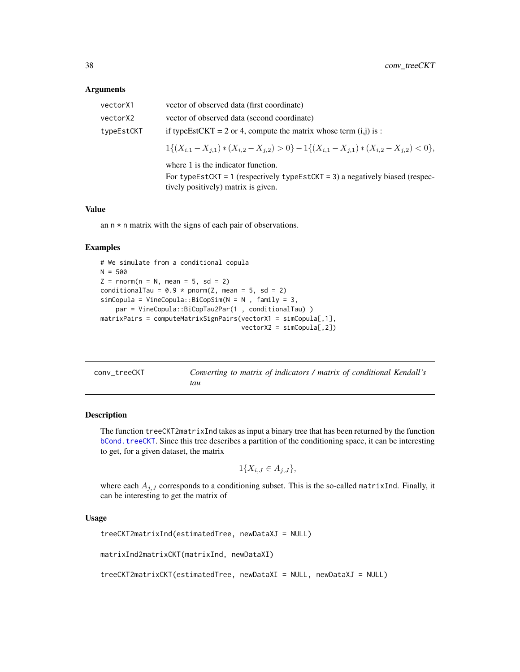<span id="page-37-0"></span>

| vectorX1   | vector of observed data (first coordinate)                                                        |
|------------|---------------------------------------------------------------------------------------------------|
| vectorX2   | vector of observed data (second coordinate)                                                       |
| typeEstCKT | if typeEstCKT = 2 or 4, compute the matrix whose term $(i, j)$ is :                               |
|            | $1\{(X_{i,1}-X_{i,1})\ast (X_{i,2}-X_{i,2})>0\}-1\{(X_{i,1}-X_{i,1})\ast (X_{i,2}-X_{i,2})<0\},\$ |
|            | where 1 is the indicator function.                                                                |
|            | For typeEstCKT = 1 (respectively typeEstCKT = 3) a negatively biased (respec-                     |
|            | tively positively) matrix is given.                                                               |

## Value

an  $n \times n$  matrix with the signs of each pair of observations.

# Examples

```
# We simulate from a conditional copula
N = 500Z = rnorm(n = N, mean = 5, sd = 2)conditionalTau = 0.9 * pnorm(Z, mean = 5, sd = 2)simCopula = VineCopula::BiCopSim(N = N , family = 3,par = VineCopula::BiCopTau2Par(1 , conditionalTau) )
matrixPairs = computeMatrixSignPairs(vectorX1 = simCopula[,1],
                                    vectorX2 = simCopula[,2])
```

| conv_treeCKT | Converting to matrix of indicators / matrix of conditional Kendall's |  |
|--------------|----------------------------------------------------------------------|--|
|              | tau                                                                  |  |

# <span id="page-37-1"></span>Description

The function treeCKT2matrixInd takes as input a binary tree that has been returned by the function [bCond.treeCKT](#page-8-1). Since this tree describes a partition of the conditioning space, it can be interesting to get, for a given dataset, the matrix

$$
1\{X_{i,J}\in A_{j,J}\},\
$$

where each  $A_{j,J}$  corresponds to a conditioning subset. This is the so-called matrixInd. Finally, it can be interesting to get the matrix of

# Usage

treeCKT2matrixInd(estimatedTree, newDataXJ = NULL)

matrixInd2matrixCKT(matrixInd, newDataXI)

treeCKT2matrixCKT(estimatedTree, newDataXI = NULL, newDataXJ = NULL)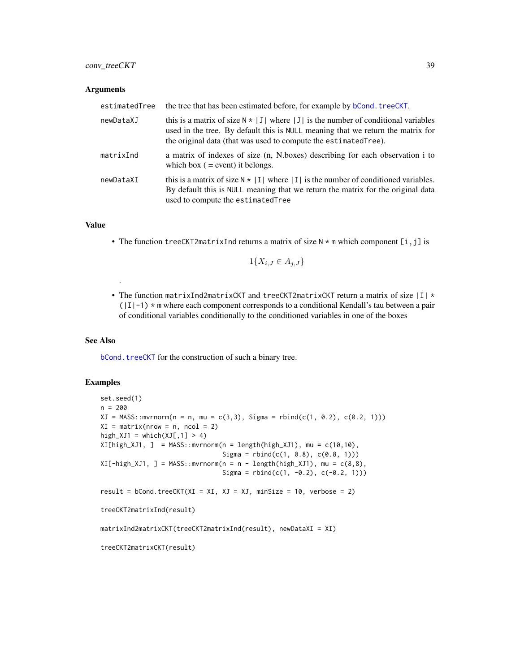# <span id="page-38-0"></span>conv\_treeCKT 39

#### **Arguments**

| estimatedTree | the tree that has been estimated before, for example by <b>bCond</b> . treeCKT.                                                                                                                                                                 |
|---------------|-------------------------------------------------------------------------------------------------------------------------------------------------------------------------------------------------------------------------------------------------|
| newDataXJ     | this is a matrix of size $N \times  J $ where  J  is the number of conditional variables<br>used in the tree. By default this is NULL meaning that we return the matrix for<br>the original data (that was used to compute the estimated Tree). |
| matrixInd     | a matrix of indexes of size (n, N, boxes) describing for each observation i to<br>which box $($ = event) it belongs.                                                                                                                            |
| newDataXI     | this is a matrix of size $N \times  I $ where  I  is the number of conditioned variables.<br>By default this is NULL meaning that we return the matrix for the original data<br>used to compute the estimated Tree                              |

# Value

• The function treeCKT2matrixInd returns a matrix of size  $N \times m$  which component [i,j] is

$$
1\{X_{i,J} \in A_{j,J}\}
$$

• The function matrixInd2matrixCKT and treeCKT2matrixCKT return a matrix of size  $|I|$   $\star$  $(|I|-1)$  \* m where each component corresponds to a conditional Kendall's tau between a pair of conditional variables conditionally to the conditioned variables in one of the boxes

# See Also

.

[bCond.treeCKT](#page-8-1) for the construction of such a binary tree.

```
set.seed(1)
n = 200
XJ = MASS::mvrnorm(n = n, mu = c(3,3), Sigma = rhind(c(1, 0.2), c(0.2, 1)))XI = matrix(nrow = n, ncol = 2)high_XJ1 = which(XJ[,1] > 4)
XI[high_XJ1, ] = MASS::mvrnorm(n = length(high_XJ1), mu = c(10,10),Sigma = rbind(c(1, 0.8), c(0.8, 1)))XI[-high_XJ1, ] = MASS::mvrnorm(n = n - length(high_XJ1), mu = c(8,8),Sigma = rbind(c(1, -0.2), c(-0.2, 1)))result = bCond.treeCKT(XI = XI, XI = XJ, minSize = 10, verbose = 2)
treeCKT2matrixInd(result)
matrixInd2matrixCKT(treeCKT2matrixInd(result), newDataXI = XI)
treeCKT2matrixCKT(result)
```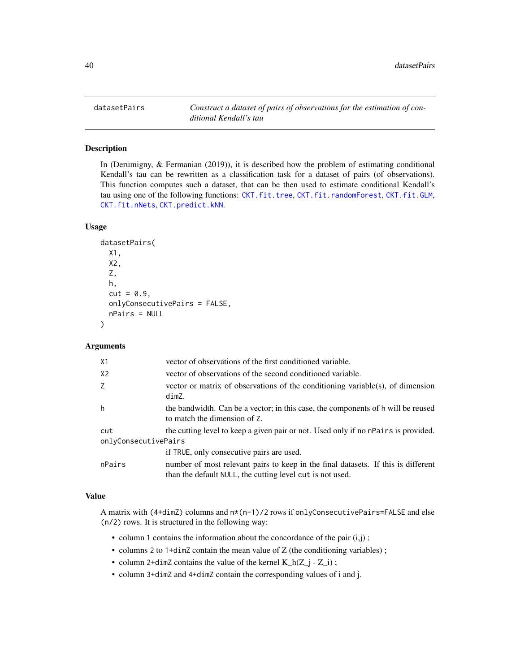<span id="page-39-1"></span><span id="page-39-0"></span>

# Description

In (Derumigny, & Fermanian (2019)), it is described how the problem of estimating conditional Kendall's tau can be rewritten as a classification task for a dataset of pairs (of observations). This function computes such a dataset, that can be then used to estimate conditional Kendall's tau using one of the following functions: [CKT.fit.tree](#page-19-1), [CKT.fit.randomForest](#page-16-1), [CKT.fit.GLM](#page-13-1), [CKT.fit.nNets](#page-15-1), [CKT.predict.kNN](#page-30-1).

# Usage

```
datasetPairs(
 X1,
 X2,
  Z,
  h,
  cut = 0.9,
 onlyConsecutivePairs = FALSE,
  nPairs = NULL
)
```
# Arguments

| X1                   | vector of observations of the first conditioned variable.                                                                                      |  |
|----------------------|------------------------------------------------------------------------------------------------------------------------------------------------|--|
| X <sub>2</sub>       | vector of observations of the second conditioned variable.                                                                                     |  |
| Z                    | vector or matrix of observations of the conditioning variable(s), of dimension<br>dimZ.                                                        |  |
| h                    | the bandwidth. Can be a vector; in this case, the components of h will be reused<br>to match the dimension of Z.                               |  |
| cut                  | the cutting level to keep a given pair or not. Used only if no nPairs is provided.                                                             |  |
| onlyConsecutivePairs |                                                                                                                                                |  |
|                      | if TRUE, only consecutive pairs are used.                                                                                                      |  |
| nPairs               | number of most relevant pairs to keep in the final datasets. If this is different<br>than the default NULL, the cutting level cut is not used. |  |

#### Value

A matrix with  $(4+dimZ)$  columns and  $n*(n-1)/2$  rows if only Consecutive Pairs=FALSE and else (n/2) rows. It is structured in the following way:

- column 1 contains the information about the concordance of the pair  $(i,j)$ ;
- columns 2 to 1+dimZ contain the mean value of Z (the conditioning variables);
- column 2+dimZ contains the value of the kernel  $K_h(Z_i Z_i)$ ;
- column 3+dimZ and 4+dimZ contain the corresponding values of i and j.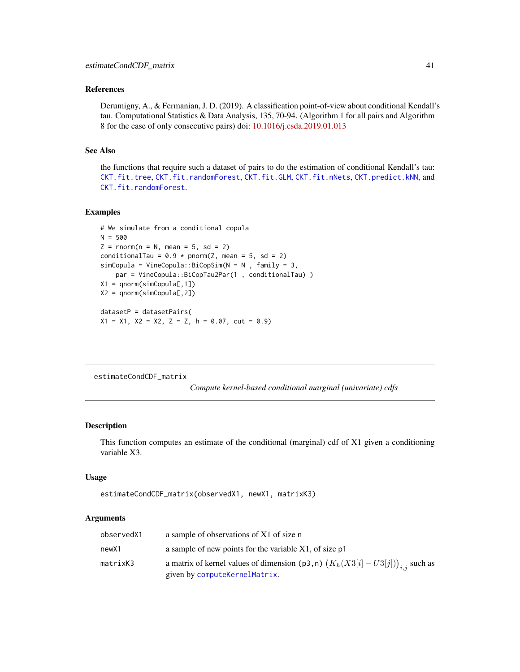#### <span id="page-40-0"></span>References

Derumigny, A., & Fermanian, J. D. (2019). A classification point-of-view about conditional Kendall's tau. Computational Statistics & Data Analysis, 135, 70-94. (Algorithm 1 for all pairs and Algorithm 8 for the case of only consecutive pairs) doi: [10.1016/j.csda.2019.01.013](https://doi.org/10.1016/j.csda.2019.01.013)

# See Also

the functions that require such a dataset of pairs to do the estimation of conditional Kendall's tau: [CKT.fit.tree](#page-19-1), [CKT.fit.randomForest](#page-16-1), [CKT.fit.GLM](#page-13-1), [CKT.fit.nNets](#page-15-1), [CKT.predict.kNN](#page-30-1), and [CKT.fit.randomForest](#page-16-1).

#### Examples

```
# We simulate from a conditional copula
N = 500Z = rnorm(n = N, mean = 5, sd = 2)conditionalTau = 0.9 * pnorm(Z, mean = 5, sd = 2)simCopula = VineCopula::BiCopSim(N = N , family = 3,
   par = VineCopula::BiCopTau2Par(1 , conditionalTau) )
X1 = qnorm(simCopula[,1])
X2 = qnorm(sinCopula[, 2])datasetP = datasetPairs(
X1 = X1, X2 = X2, Z = Z, h = 0.07, cut = 0.9)
```
<span id="page-40-1"></span>estimateCondCDF\_matrix

*Compute kernel-based conditional marginal (univariate) cdfs*

#### **Description**

This function computes an estimate of the conditional (marginal) cdf of X1 given a conditioning variable X3.

#### Usage

```
estimateCondCDF_matrix(observedX1, newX1, matrixK3)
```

| observedX1 | a sample of observations of X1 of size n                                          |
|------------|-----------------------------------------------------------------------------------|
| newX1      | a sample of new points for the variable X1, of size p1                            |
| matrixK3   | a matrix of kernel values of dimension (p3, n) $(K_h(X3[i]-U3[j]))_{i,i}$ such as |
|            | given by computeKernelMatrix.                                                     |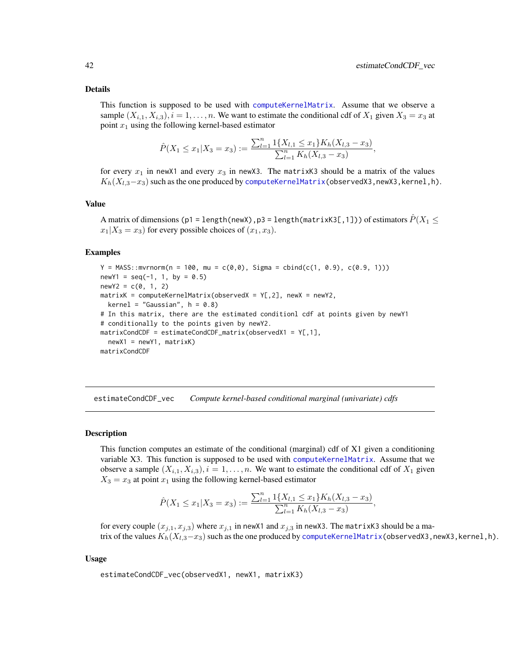#### <span id="page-41-0"></span>Details

This function is supposed to be used with [computeKernelMatrix](#page-35-1). Assume that we observe a sample  $(X_{i,1}, X_{i,3}), i = 1, \ldots, n$ . We want to estimate the conditional cdf of  $X_1$  given  $X_3 = x_3$  at point  $x_1$  using the following kernel-based estimator

$$
\hat{P}(X_1 \le x_1 | X_3 = x_3) := \frac{\sum_{l=1}^n \mathbb{1}\{X_{l,1} \le x_1\} K_h(X_{l,3} - x_3)}{\sum_{l=1}^n K_h(X_{l,3} - x_3)},
$$

for every  $x_1$  in newX1 and every  $x_3$  in newX3. The matrixK3 should be a matrix of the values  $K_h(X_{l,3}-x_3)$  such as the one produced by [computeKernelMatrix\(](#page-35-1)observedX3,newX3,kernel,h).

#### Value

A matrix of dimensions (p1 = length(newX),p3 = length(matrixK3[,1])) of estimators  $\hat{P}(X_1 \leq$  $x_1|X_3 = x_3$  for every possible choices of  $(x_1, x_3)$ .

#### Examples

```
Y = MASS::mvrnorm(n = 100, mu = c(0,0), Sigma = chind(c(1, 0.9), c(0.9, 1)))newY1 = seq(-1, 1, by = 0.5)newY2 = c(0, 1, 2)matrixK = computeKernelMatrix(observedX = Y[, 2], newX = newY2,
  kernel = "Gaussian", h = 0.8)
# In this matrix, there are the estimated conditionl cdf at points given by newY1
# conditionally to the points given by newY2.
matrixCondCDF = estimateCondCDF_matrix(observedX1 = Y[,1],
  newX1 = newY1, matrixKmatrixCondCDF
```
<span id="page-41-1"></span>estimateCondCDF\_vec *Compute kernel-based conditional marginal (univariate) cdfs*

#### **Description**

This function computes an estimate of the conditional (marginal) cdf of X1 given a conditioning variable X3. This function is supposed to be used with [computeKernelMatrix](#page-35-1). Assume that we observe a sample  $(X_{i,1}, X_{i,3}), i = 1, \ldots, n$ . We want to estimate the conditional cdf of  $X_1$  given  $X_3 = x_3$  at point  $x_1$  using the following kernel-based estimator

$$
\hat{P}(X_1 \le x_1 | X_3 = x_3) := \frac{\sum_{l=1}^n \mathbb{1}\{X_{l,1} \le x_1\} K_h(X_{l,3} - x_3)}{\sum_{l=1}^n K_h(X_{l,3} - x_3)},
$$

for every couple  $(x_{j,1}, x_{j,3})$  where  $x_{j,1}$  in newX1 and  $x_{j,3}$  in newX3. The matrixK3 should be a matrix of the values  $K_h(X_{l,3}-x_3)$  such as the one produced by [computeKernelMatrix\(](#page-35-1)observedX3,newX3,kernel,h).

#### Usage

estimateCondCDF\_vec(observedX1, newX1, matrixK3)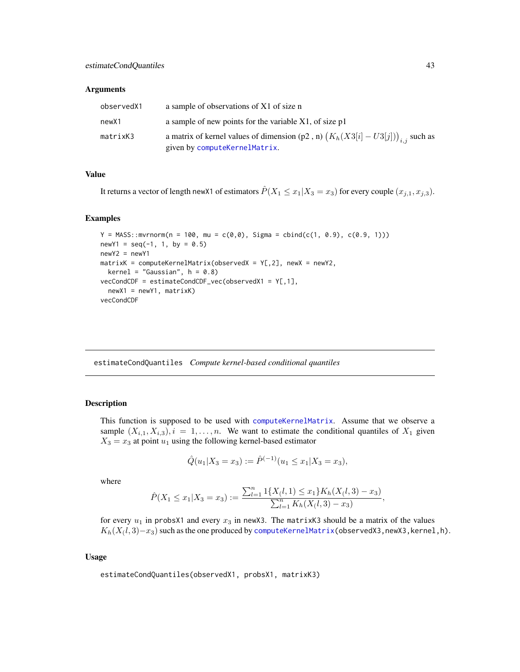<span id="page-42-0"></span>

| observedX1 | a sample of observations of X1 of size n                                          |
|------------|-----------------------------------------------------------------------------------|
| newX1      | a sample of new points for the variable X1, of size p1                            |
| matrixK3   | a matrix of kernel values of dimension (p2, n) $(K_h(X3[i]-U3[j]))_{i,i}$ such as |
|            | given by computeKernelMatrix.                                                     |

#### Value

It returns a vector of length newX1 of estimators  $\hat{P}(X_1 \le x_1 | X_3 = x_3)$  for every couple  $(x_{i,1}, x_{i,3})$ .

#### Examples

```
Y = MASS: mvrnorm(n = 100, mu = c(0,0), Sigma = chind(c(1, 0.9), c(0.9, 1)))newY1 = seq(-1, 1, by = 0.5)newY2 = newY1matrix K = computeKernelMatrix(observed X = Y[, 2], new X = newY2,kernel = "Gaussian", h = 0.8)
vecCondCDF = estimateCondCDF_vec(observedX1 = Y[,1],
  newX1 = newY1, matrixK)vecCondCDF
```
estimateCondQuantiles *Compute kernel-based conditional quantiles*

# Description

This function is supposed to be used with [computeKernelMatrix](#page-35-1). Assume that we observe a sample  $(X_{i,1}, X_{i,3}), i = 1, \ldots, n$ . We want to estimate the conditional quantiles of  $X_1$  given  $X_3 = x_3$  at point  $u_1$  using the following kernel-based estimator

$$
\hat{Q}(u_1|X_3=x_3) := \hat{P}^{(-1)}(u_1 \le x_1|X_3=x_3),
$$

where

$$
\hat{P}(X_1 \le x_1 | X_3 = x_3) := \frac{\sum_{l=1}^n \mathbb{1}\{X_l(l,1) \le x_1\} K_h(X_l,l,3) - x_3\}}{\sum_{l=1}^n K_h(X_l,l,3) - x_3},
$$

for every  $u_1$  in probsX1 and every  $x_3$  in newX3. The matrixK3 should be a matrix of the values  $K_h(X_(l,3)\!-\!x_3)$  such as the one produced by [computeKernelMatrix\(](#page-35-1)observedX3,newX3,kernel,h).

# Usage

estimateCondQuantiles(observedX1, probsX1, matrixK3)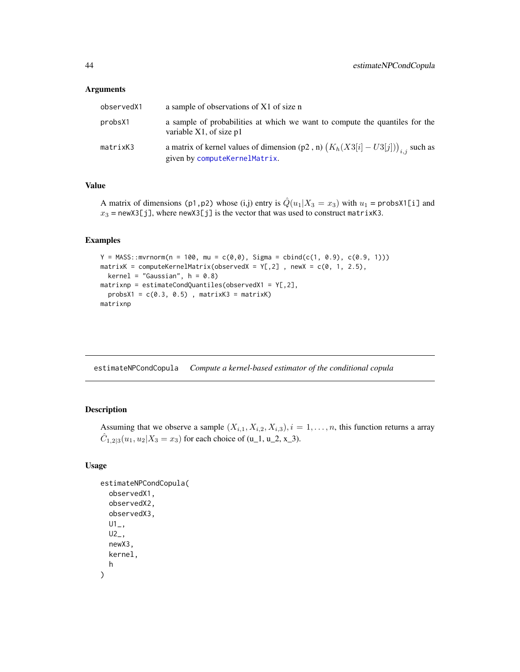<span id="page-43-0"></span>

| observedX1 | a sample of observations of X1 of size n                                                                           |
|------------|--------------------------------------------------------------------------------------------------------------------|
| probsX1    | a sample of probabilities at which we want to compute the quantiles for the<br>variable $X1$ , of size $p1$        |
| matrixK3   | a matrix of kernel values of dimension (p2, n) $(K_h(X3[i]-U3[j]))_{i,j}$ such as<br>given by computeKernelMatrix. |

#### Value

A matrix of dimensions (p1,p2) whose (i,j) entry is  $\hat{Q}(u_1|X_3 = x_3)$  with  $u_1$  = probs $\chi$ 1[i] and  $x_3$  = newX3[j], where newX3[j] is the vector that was used to construct matrixK3.

### Examples

```
Y = MASS::mvrnorm(n = 100, mu = c(0,0), Sigma = chind(c(1, 0.9), c(0.9, 1)))matrixK = computeKernelMatrix(observedX = Y[, 2], newX = c(0, 1, 2.5),
  kernel = "Gaussian", h = 0.8)
matrixnp = estimateCondQuantiles(observedX1 = Y[, 2],probsX1 = c(0.3, 0.5), matrixK3 = matrixK)
matrixnp
```
<span id="page-43-1"></span>estimateNPCondCopula *Compute a kernel-based estimator of the conditional copula*

# Description

Assuming that we observe a sample  $(X_{i,1}, X_{i,2}, X_{i,3}), i = 1, \ldots, n$ , this function returns a array  $\hat{C}_{1,2|3}(u_1, u_2|X_3 = x_3)$  for each choice of (u\_1, u\_2, x\_3).

# Usage

```
estimateNPCondCopula(
  observedX1,
  observedX2,
  observedX3,
  U1_-,U2_newX3,
 kernel,
  h
)
```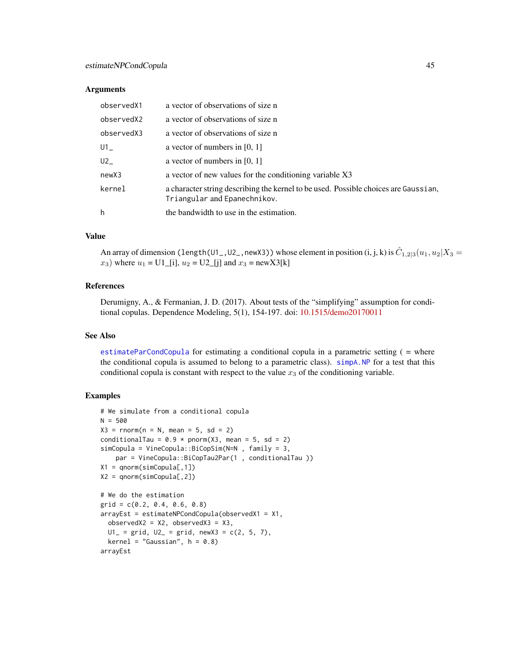<span id="page-44-0"></span>

| observedX1 | a vector of observations of size n                                                                                  |
|------------|---------------------------------------------------------------------------------------------------------------------|
| observedX2 | a vector of observations of size n                                                                                  |
| observedX3 | a vector of observations of size n                                                                                  |
| U1         | a vector of numbers in $[0, 1]$                                                                                     |
| U2         | a vector of numbers in $[0, 1]$                                                                                     |
| newX3      | a vector of new values for the conditioning variable X3                                                             |
| kernel     | a character string describing the kernel to be used. Possible choices are Gaussian,<br>Triangular and Epanechnikov. |
| h          | the bandwidth to use in the estimation.                                                                             |

# Value

An array of dimension (length(U1\_,U2\_,newX3)) whose element in position (i, j, k) is  $\hat C_{1,2|3}(u_1,u_2|X_3=$  $x_3$ ) where  $u_1 = U1$  [i],  $u_2 = U2$  [j] and  $x_3 = newX3[k]$ 

#### References

Derumigny, A., & Fermanian, J. D. (2017). About tests of the "simplifying" assumption for conditional copulas. Dependence Modeling, 5(1), 154-197. doi: [10.1515/demo20170011](https://doi.org/10.1515/demo-2017-0011)

#### See Also

[estimateParCondCopula](#page-45-1) for estimating a conditional copula in a parametric setting ( = where the conditional copula is assumed to belong to a parametric class). [simpA.NP](#page-49-1) for a test that this conditional copula is constant with respect to the value  $x_3$  of the conditioning variable.

```
# We simulate from a conditional copula
N = 500X3 = rnorm(n = N, mean = 5, sd = 2)conditionalTau = 0.9 * pnorm(X3, mean = 5, sd = 2)simCopula = VineCopula::BiCopSim(N=N , family = 3,
   par = VineCopula::BiCopTau2Par(1 , conditionalTau ))
X1 = qnorm(simCopula[,1])
X2 = qnorm(simCopula[,2])
# We do the estimation
grid = c(0.2, 0.4, 0.6, 0.8)
arrayEst = estimateNPCondCopula(observedX1 = X1,
  observedX2 = X2, observedX3 = X3,
  UI = grid, U2 = grid, newX3 = c(2, 5, 7),kernel = "Gaussian", h = 0.8)
arrayEst
```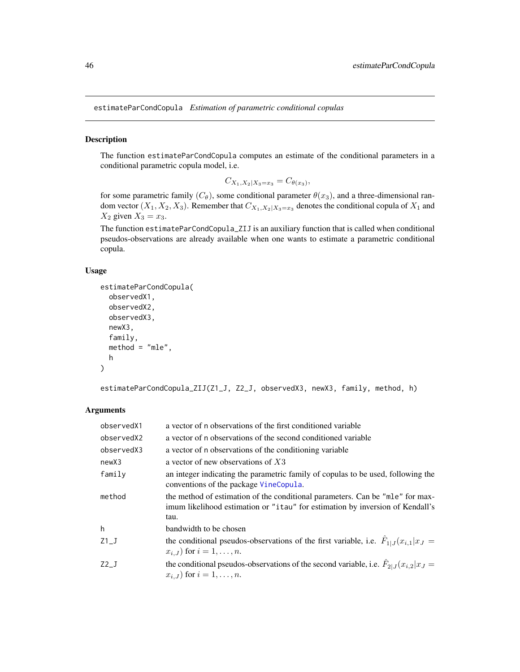<span id="page-45-1"></span><span id="page-45-0"></span>estimateParCondCopula *Estimation of parametric conditional copulas*

# Description

The function estimateParCondCopula computes an estimate of the conditional parameters in a conditional parametric copula model, i.e.

$$
C_{X_1,X_2|X_3=x_3} = C_{\theta(x_3)},
$$

for some parametric family  $(C_{\theta})$ , some conditional parameter  $\theta(x_3)$ , and a three-dimensional random vector  $(X_1, X_2, X_3)$ . Remember that  $C_{X_1, X_2|X_3=x_3}$  denotes the conditional copula of  $X_1$  and  $X_2$  given  $X_3 = x_3$ .

The function estimateParCondCopula\_ZIJ is an auxiliary function that is called when conditional pseudos-observations are already available when one wants to estimate a parametric conditional copula.

#### Usage

```
estimateParCondCopula(
  observedX1,
  observedX2,
  observedX3,
  newX3,
  family,
  method = "mle",h
)
```
estimateParCondCopula\_ZIJ(Z1\_J, Z2\_J, observedX3, newX3, family, method, h)

| observedX1 | a vector of n observations of the first conditioned variable                                                                                                                    |
|------------|---------------------------------------------------------------------------------------------------------------------------------------------------------------------------------|
| observedX2 | a vector of n observations of the second conditioned variable                                                                                                                   |
| observedX3 | a vector of n observations of the conditioning variable                                                                                                                         |
| newX3      | a vector of new observations of $X3$                                                                                                                                            |
| family     | an integer indicating the parametric family of copulas to be used, following the<br>conventions of the package VineCopula.                                                      |
| method     | the method of estimation of the conditional parameters. Can be "mle" for max-<br>imum likelihood estimation or " <i>i</i> tau" for estimation by inversion of Kendall's<br>tau. |
| h          | bandwidth to be chosen                                                                                                                                                          |
| $Z1_J$     | the conditional pseudos-observations of the first variable, i.e. $F_{1 J}(x_{i,1} x_J =$<br>$x_{i,J}$ for $i=1,\ldots,n$ .                                                      |
| $Z2_J$     | the conditional pseudos-observations of the second variable, i.e. $F_{2 J}(x_{i,2} x_J =$<br>$x_{i,J}$ for $i = 1, , n$ .                                                       |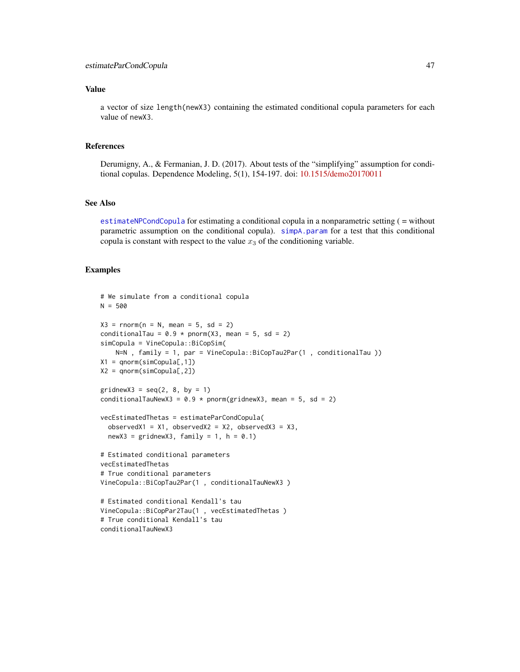# <span id="page-46-0"></span>Value

a vector of size length(newX3) containing the estimated conditional copula parameters for each value of newX3.

# References

Derumigny, A., & Fermanian, J. D. (2017). About tests of the "simplifying" assumption for conditional copulas. Dependence Modeling, 5(1), 154-197. doi: [10.1515/demo20170011](https://doi.org/10.1515/demo-2017-0011)

# See Also

[estimateNPCondCopula](#page-43-1) for estimating a conditional copula in a nonparametric setting ( = without parametric assumption on the conditional copula). [simpA.param](#page-52-1) for a test that this conditional copula is constant with respect to the value  $x_3$  of the conditioning variable.

```
# We simulate from a conditional copula
N = 500X3 = \text{rnorm}(n = N, \text{ mean } = 5, \text{ sd } = 2)conditionalTau = 0.9 * pnorm(X3, mean = 5, sd = 2)
simCopula = VineCopula::BiCopSim(
    N=N , family = 1, par = VineCopula::BiCopTau2Par(1 , conditionalTau ))
X1 = qnorm(simCopula[, 1])X2 = qnorm(simCopula[,2])
gridnewX3 = seq(2, 8, by = 1)conditionalTauNewX3 = 0.9 * pnorm(gridnewX3, mean = 5, sd = 2)
vecEstimatedThetas = estimateParCondCopula(
  observedX1 = X1, observedX2 = X2, observedX3 = X3,
  newX3 = gridnewX3, family = 1, h = 0.1# Estimated conditional parameters
vecEstimatedThetas
# True conditional parameters
VineCopula::BiCopTau2Par(1 , conditionalTauNewX3 )
# Estimated conditional Kendall's tau
VineCopula::BiCopPar2Tau(1 , vecEstimatedThetas )
# True conditional Kendall's tau
conditionalTauNewX3
```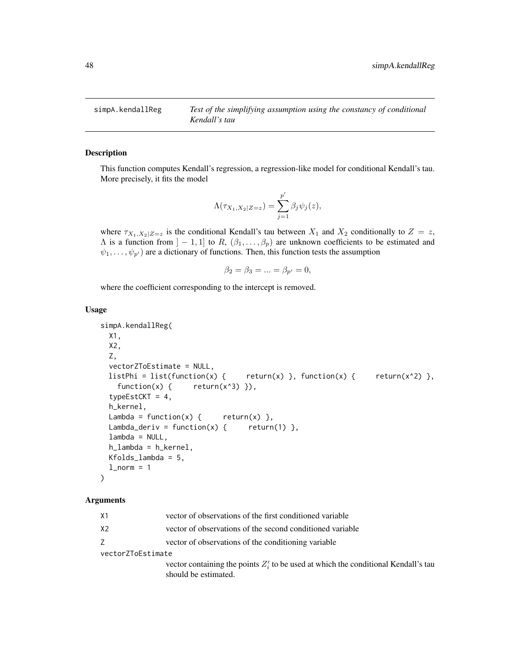<span id="page-47-1"></span><span id="page-47-0"></span>simpA.kendallReg *Test of the simplifying assumption using the constancy of conditional Kendall's tau*

# Description

This function computes Kendall's regression, a regression-like model for conditional Kendall's tau. More precisely, it fits the model

$$
\Lambda(\tau_{X_1,X_2|Z=z}) = \sum_{j=1}^{p'} \beta_j \psi_j(z),
$$

where  $\tau_{X_1,X_2|Z=z}$  is the conditional Kendall's tau between  $X_1$  and  $X_2$  conditionally to  $Z=z$ ,  $\Lambda$  is a function from  $]-1,1]$  to  $R, (\beta_1,\ldots,\beta_p)$  are unknown coefficients to be estimated and  $\psi_1, \ldots, \psi_{p'}$  are a dictionary of functions. Then, this function tests the assumption

$$
\beta_2 = \beta_3 = \dots = \beta_{p'} = 0,
$$

where the coefficient corresponding to the intercept is removed.

#### Usage

```
simpA.kendallReg(
 X1,
 X2,
 Z,
  vectorZToEstimate = NULL,
 listPhi = list(function(x) {\nvert} return(x) }, function(x) { return(x^2) },
   function(x) { return(x^3) }),
  typeEstCKT = 4,
  h_kernel,
 Lambda = function(x) { return(x) },
 Lambda_deriv = function(x) { return(1) },
  lambda = NULL,h_lambda = h_kernel,
 Kfolds_lambda = 5,
  l\_norm = 1)
```
#### Arguments

| X1 |  |  | vector of observations of the first conditioned variable |  |
|----|--|--|----------------------------------------------------------|--|
|    |  |  |                                                          |  |

X2 vector of observations of the second conditioned variable

Z vector of observations of the conditioning variable

vectorZToEstimate

vector containing the points  $Z_i'$  to be used at which the conditional Kendall's tau should be estimated.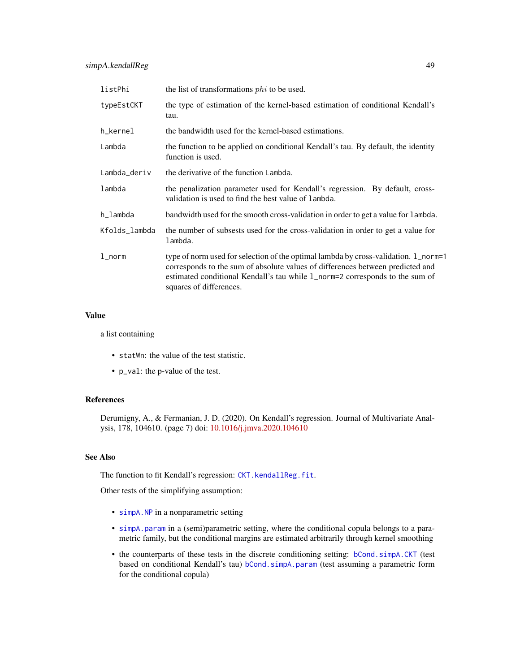<span id="page-48-0"></span>

| listPhi       | the list of transformations <i>phi</i> to be used.                                                                                                                                                                                                                               |  |  |
|---------------|----------------------------------------------------------------------------------------------------------------------------------------------------------------------------------------------------------------------------------------------------------------------------------|--|--|
| typeEstCKT    | the type of estimation of the kernel-based estimation of conditional Kendall's<br>tau.                                                                                                                                                                                           |  |  |
| h_kernel      | the bandwidth used for the kernel-based estimations.                                                                                                                                                                                                                             |  |  |
| Lambda        | the function to be applied on conditional Kendall's tau. By default, the identity<br>function is used.                                                                                                                                                                           |  |  |
| Lambda_deriv  | the derivative of the function Lambda.                                                                                                                                                                                                                                           |  |  |
| lambda        | the penalization parameter used for Kendall's regression. By default, cross-<br>validation is used to find the best value of lambda.                                                                                                                                             |  |  |
| h_lambda      | bandwidth used for the smooth cross-validation in order to get a value for lambda.                                                                                                                                                                                               |  |  |
| Kfolds_lambda | the number of subsests used for the cross-validation in order to get a value for<br>lambda.                                                                                                                                                                                      |  |  |
| $1$ _norm     | type of norm used for selection of the optimal lambda by cross-validation. 1_norm=1<br>corresponds to the sum of absolute values of differences between predicted and<br>estimated conditional Kendall's tau while 1_norm=2 corresponds to the sum of<br>squares of differences. |  |  |

#### Value

a list containing

- statWn: the value of the test statistic.
- p\_val: the p-value of the test.

# References

Derumigny, A., & Fermanian, J. D. (2020). On Kendall's regression. Journal of Multivariate Analysis, 178, 104610. (page 7) doi: [10.1016/j.jmva.2020.104610](https://doi.org/10.1016/j.jmva.2020.104610)

# See Also

The function to fit Kendall's regression: [CKT.kendallReg.fit](#page-23-1).

Other tests of the simplifying assumption:

- [simpA.NP](#page-49-1) in a nonparametric setting
- [simpA.param](#page-52-1) in a (semi)parametric setting, where the conditional copula belongs to a parametric family, but the conditional margins are estimated arbitrarily through kernel smoothing
- the counterparts of these tests in the discrete conditioning setting: [bCond.simpA.CKT](#page-4-1) (test based on conditional Kendall's tau) [bCond.simpA.param](#page-6-1) (test assuming a parametric form for the conditional copula)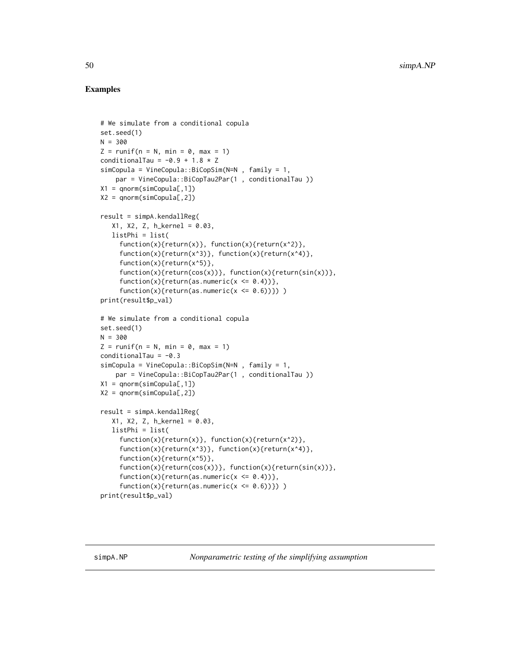```
# We simulate from a conditional copula
set.seed(1)
N = 300Z = runif(n = N, min = 0, max = 1)conditionalTau = -0.9 + 1.8 \times ZsimCopula = VineCopula::BiCopSim(N=N , family = 1,
    par = VineCopula::BiCopTau2Par(1 , conditionalTau ))
X1 = qnorm(simCopula[, 1])X2 = qnorm(simCopula[,2])
result = simpA.kendallReg(
   X1, X2, Z, h_kernel = 0.03,
   listPhi = list(
     function(x){\text{return}(x)}, function(x){\text{return}(x^2)},
     function(x){\text{return}(x^3)}, function(x){\text{return}(x^4)},function(x){return(x^5)},
     function(x){return(cos(x))}, function(x){return(sin(x))},
     function(x){return(as.numeric(x \leq 0.4))},
     function(x){return(as.numeric(x \le 0.6)}) )
print(result$p_val)
# We simulate from a conditional copula
set.seed(1)
N = 300
Z = runif(n = N, min = 0, max = 1)conditionalTau = -0.3simCopula = VineCopula::BiCopSim(N=N , family = 1,
    par = VineCopula::BiCopTau2Par(1 , conditionalTau ))
X1 = qnorm(simCopula[,1])
X2 = qnorm(simCopula[,2])
result = simpA.kendallReg(
   X1, X2, Z, h_kernel = 0.03,
   listPhi = list(
     function(x){return(x)}, function(x){return(x^2)},
     function(x){\text{return}(x^3)}, function(x){\text{return}(x^4)},function(x){return(x^5)},
     function(x){return(cos(x))}, function(x){return(sin(x))},
     function(x){return(as.numeric(x <= 0.4))},
     function(x){return(as.numeric(x <= 0.6))}))
print(result$p_val)
```
<span id="page-49-0"></span>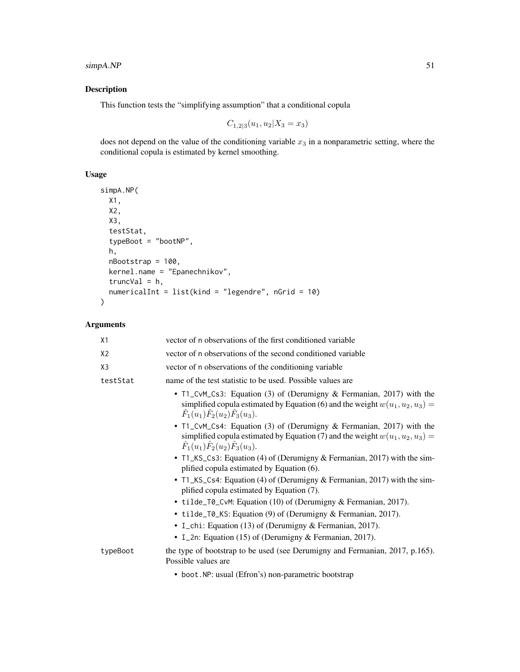# simpA.NP 51

# Description

This function tests the "simplifying assumption" that a conditional copula

$$
C_{1,2|3}(u_1, u_2 | X_3 = x_3)
$$

does not depend on the value of the conditioning variable  $x_3$  in a nonparametric setting, where the conditional copula is estimated by kernel smoothing.

# Usage

```
simpA.NP(
 X1,
 X2,
 X3,
  testStat,
 typeBoot = "bootNP",
 h,
 nBootstrap = 100,
 kernel.name = "Epanechnikov",
  truncVal = h,
 numericalInt = list(kind = "legendre", nGrid = 10)
)
```

| X1             | vector of n observations of the first conditioned variable                                                                                                                                               |
|----------------|----------------------------------------------------------------------------------------------------------------------------------------------------------------------------------------------------------|
| X <sub>2</sub> | vector of n observations of the second conditioned variable                                                                                                                                              |
| X <sub>3</sub> | vector of n observations of the conditioning variable                                                                                                                                                    |
| testStat       | name of the test statistic to be used. Possible values are                                                                                                                                               |
|                | • T1_CvM_Cs3: Equation (3) of (Derumigny & Fermanian, 2017) with the<br>simplified copula estimated by Equation (6) and the weight $w(u_1, u_2, u_3) =$<br>$\hat{F}_1(u_1)\hat{F}_2(u_2)\hat{F}_3(u_3).$ |
|                | • T1_CvM_Cs4: Equation (3) of (Derumigny & Fermanian, 2017) with the<br>simplified copula estimated by Equation (7) and the weight $w(u_1, u_2, u_3) =$<br>$\hat{F}_1(u_1)\hat{F}_2(u_2)\hat{F}_3(u_3).$ |
|                | • T1_KS_Cs3: Equation (4) of (Derumigny & Fermanian, 2017) with the sim-<br>plified copula estimated by Equation (6).                                                                                    |
|                | • T1_KS_Cs4: Equation (4) of (Derumigny & Fermanian, 2017) with the sim-<br>plified copula estimated by Equation (7).                                                                                    |
|                | • tilde_T0_CvM: Equation (10) of (Derumigny & Fermanian, 2017).                                                                                                                                          |
|                | • tilde_T0_KS: Equation (9) of (Derumigny & Fermanian, 2017).                                                                                                                                            |
|                | • I_chi: Equation (13) of (Derumigny & Fermanian, 2017).                                                                                                                                                 |
|                | • I_2n: Equation (15) of (Derumigny & Fermanian, 2017).                                                                                                                                                  |
| typeBoot       | the type of bootstrap to be used (see Derumigny and Fermanian, 2017, p.165).<br>Possible values are                                                                                                      |
|                | • boot. NP: usual (Efron's) non-parametric bootstrap                                                                                                                                                     |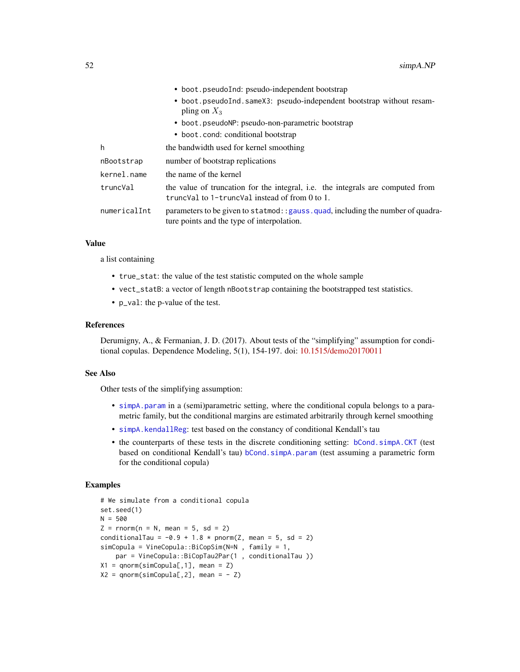<span id="page-51-0"></span>

|              | • boot.pseudoInd: pseudo-independent bootstrap<br>• boot.pseudoInd.sameX3: pseudo-independent bootstrap without resam-<br>pling on $X_3$<br>• boot.pseudoNP: pseudo-non-parametric bootstrap<br>• boot.cond: conditional bootstrap |
|--------------|------------------------------------------------------------------------------------------------------------------------------------------------------------------------------------------------------------------------------------|
|              |                                                                                                                                                                                                                                    |
| h            | the bandwidth used for kernel smoothing                                                                                                                                                                                            |
| nBootstrap   | number of bootstrap replications                                                                                                                                                                                                   |
| kernel.name  | the name of the kernel                                                                                                                                                                                                             |
| truncVal     | the value of truncation for the integral, i.e. the integrals are computed from<br>trunc Val to 1-trunc Val instead of from $0$ to 1.                                                                                               |
| numericalInt | parameters to be given to statmod: : gauss. quad, including the number of quadra-<br>ture points and the type of interpolation.                                                                                                    |

#### Value

a list containing

- true\_stat: the value of the test statistic computed on the whole sample
- vect\_statB: a vector of length nBootstrap containing the bootstrapped test statistics.
- p\_val: the p-value of the test.

#### References

Derumigny, A., & Fermanian, J. D. (2017). About tests of the "simplifying" assumption for conditional copulas. Dependence Modeling, 5(1), 154-197. doi: [10.1515/demo20170011](https://doi.org/10.1515/demo-2017-0011)

#### See Also

Other tests of the simplifying assumption:

- [simpA.param](#page-52-1) in a (semi)parametric setting, where the conditional copula belongs to a parametric family, but the conditional margins are estimated arbitrarily through kernel smoothing
- [simpA.kendallReg](#page-47-1): test based on the constancy of conditional Kendall's tau
- the counterparts of these tests in the discrete conditioning setting: [bCond.simpA.CKT](#page-4-1) (test based on conditional Kendall's tau) [bCond.simpA.param](#page-6-1) (test assuming a parametric form for the conditional copula)

```
# We simulate from a conditional copula
set.seed(1)
N = 500Z = rnorm(n = N, mean = 5, sd = 2)conditionalTau = -0.9 + 1.8 * pnorm(Z, mean = 5, sd = 2)
simCopula = VineCopula::BiCopSim(N=N , family = 1,
    par = VineCopula::BiCopTau2Par(1 , conditionalTau ))
X1 = qnorm(sinCopula[, 1], \text{ mean } = Z)X2 = qnorm(sinCopula[, 2], mean = -Z)
```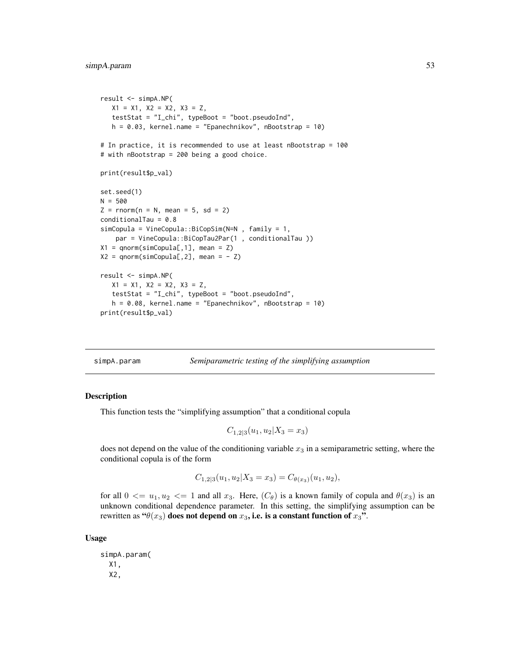```
result <- simpA.NP(
   X1 = X1, X2 = X2, X3 = Z,
   testStat = "I_chi", typeBoot = "boot.pseudoInd",
   h = 0.03, kernel.name = "Epanechnikov", nBootstrap = 10)
# In practice, it is recommended to use at least nBootstrap = 100
# with nBootstrap = 200 being a good choice.
print(result$p_val)
set.seed(1)
N = 500Z = rnorm(n = N, mean = 5, sd = 2)conditionalTau = 0.8
simCopula = VineCopula::BiCopSim(N=N , family = 1,
    par = VineCopula::BiCopTau2Par(1 , conditionalTau ))
X1 = qnorm(simCopula[, 1], mean = Z)X2 = qnorm(simCopula[, 2], mean = - Z)result <- simpA.NP(
   X1 = X1, X2 = X2, X3 = Z,
   testStat = "I_chi", typeBoot = "boot.pseudoInd",
   h = 0.08, kernel.name = "Epanechnikov", nBootstrap = 10)
print(result$p_val)
```
<span id="page-52-1"></span>simpA.param *Semiparametric testing of the simplifying assumption*

#### **Description**

This function tests the "simplifying assumption" that a conditional copula

$$
C_{1,2|3}(u_1, u_2 | X_3 = x_3)
$$

does not depend on the value of the conditioning variable  $x_3$  in a semiparametric setting, where the conditional copula is of the form

$$
C_{1,2|3}(u_1, u_2|X_3 = x_3) = C_{\theta(x_3)}(u_1, u_2),
$$

for all  $0 \le u_1, u_2 \le 1$  and all  $x_3$ . Here,  $(C_\theta)$  is a known family of copula and  $\theta(x_3)$  is an unknown conditional dependence parameter. In this setting, the simplifying assumption can be rewritten as " $\theta(x_3)$  does not depend on  $x_3$ , i.e. is a constant function of  $x_3$ ".

#### Usage

simpA.param( X1, X2,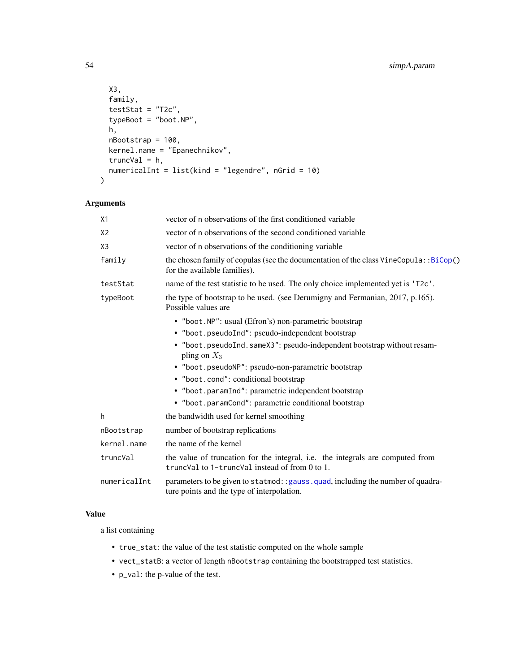```
X3,
 family,
 testStat = "T2c",typeBoot = "boot.NP",
 h,
 nBootstrap = 100,
 kernel.name = "Epanechnikov",
 truncVal = h,
 numericalInt = list(kind = "legendre", nGrid = 10)
)
```

| X1             | vector of n observations of the first conditioned variable                                                                       |
|----------------|----------------------------------------------------------------------------------------------------------------------------------|
| X <sub>2</sub> | vector of n observations of the second conditioned variable                                                                      |
| X3             | vector of n observations of the conditioning variable                                                                            |
| family         | the chosen family of copulas (see the documentation of the class VineCopula::BiCop()<br>for the available families).             |
| testStat       | name of the test statistic to be used. The only choice implemented yet is 'T2c'.                                                 |
| typeBoot       | the type of bootstrap to be used. (see Derumigny and Fermanian, 2017, p.165).<br>Possible values are                             |
|                | • "boot.NP": usual (Efron's) non-parametric bootstrap                                                                            |
|                | • "boot.pseudoInd": pseudo-independent bootstrap                                                                                 |
|                | • "boot.pseudoInd.sameX3": pseudo-independent bootstrap without resam-<br>pling on $X_3$                                         |
|                | • "boot.pseudoNP": pseudo-non-parametric bootstrap                                                                               |
|                | • "boot.cond": conditional bootstrap                                                                                             |
|                | • "boot.paramInd": parametric independent bootstrap                                                                              |
|                | • "boot.paramCond": parametric conditional bootstrap                                                                             |
| h              | the bandwidth used for kernel smoothing                                                                                          |
| nBootstrap     | number of bootstrap replications                                                                                                 |
| kernel.name    | the name of the kernel                                                                                                           |
| truncVal       | the value of truncation for the integral, i.e. the integrals are computed from<br>truncVal to 1-truncVal instead of from 0 to 1. |
| numericalInt   | parameters to be given to statmod: : gauss. quad, including the number of quadra-<br>ture points and the type of interpolation.  |

# Value

a list containing

- true\_stat: the value of the test statistic computed on the whole sample
- vect\_statB: a vector of length nBootstrap containing the bootstrapped test statistics.
- p\_val: the p-value of the test.

<span id="page-53-0"></span>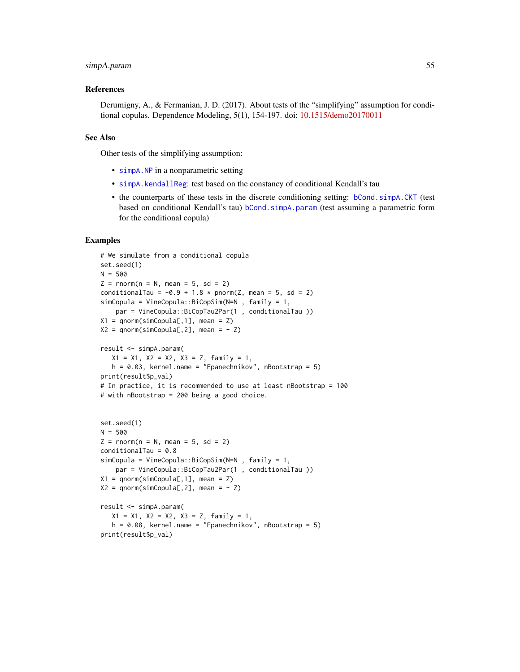#### <span id="page-54-0"></span>simpA.param 55

#### References

Derumigny, A., & Fermanian, J. D. (2017). About tests of the "simplifying" assumption for conditional copulas. Dependence Modeling, 5(1), 154-197. doi: [10.1515/demo20170011](https://doi.org/10.1515/demo-2017-0011)

#### See Also

Other tests of the simplifying assumption:

- [simpA.NP](#page-49-1) in a nonparametric setting
- [simpA.kendallReg](#page-47-1): test based on the constancy of conditional Kendall's tau
- the counterparts of these tests in the discrete conditioning setting: [bCond.simpA.CKT](#page-4-1) (test based on conditional Kendall's tau) [bCond.simpA.param](#page-6-1) (test assuming a parametric form for the conditional copula)

```
# We simulate from a conditional copula
set.seed(1)
N = 500
Z = rnorm(n = N, mean = 5, sd = 2)conditionalTau = -0.9 + 1.8 * pnorm(Z, mean = 5, sd = 2)
simCopula = VineCopula::BiCopSim(N=N , family = 1,
    par = VineCopula::BiCopTau2Par(1 , conditionalTau ))
X1 = qnorm(simCopula[, 1], mean = Z)X2 = qnorm(sinCopula[, 2], mean = -Z)result <- simpA.param(
   X1 = X1, X2 = X2, X3 = Z, family = 1,
   h = 0.03, kernel.name = "Epanechnikov", nBootstrap = 5)
print(result$p_val)
# In practice, it is recommended to use at least nBootstrap = 100
# with nBootstrap = 200 being a good choice.
set.seed(1)
N = 500Z = rnorm(n = N, mean = 5, sd = 2)conditionalTau = 0.8simCopula = VineCopula::BiCopSim(N=N , family = 1,
    par = VineCopula::BiCopTau2Par(1 , conditionalTau ))
X1 = qnorm(simCopula[, 1], mean = Z)X2 = qnorm(sinCopula[, 2], mean = -Z)result <- simpA.param(
   X1 = X1, X2 = X2, X3 = Z, family = 1,
   h = 0.08, kernel.name = "Epanechnikov", nBootstrap = 5)
print(result$p_val)
```